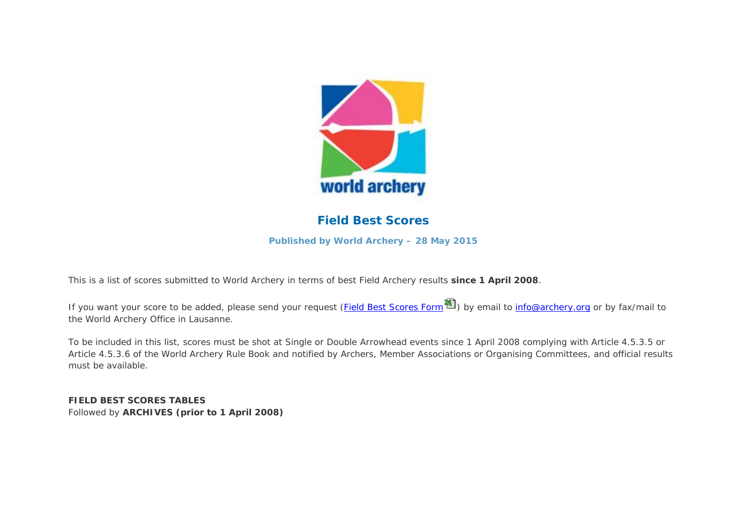

### **Field Best Scores**

**Published by World Archery – 28 May 2015** 

This is a list of scores submitted to World Archery in terms of best Field Archery results **since 1 April 2008**.

*If you want your score to be added, please send your request (Field Best Scores Form ) by email to info@archery.org or by fax/mail to the World Archery Office in Lausanne.*

To be included in this list, scores must be shot at Single or Double Arrowhead events since 1 April 2008 complying with Article 4.5.3.5 or Article 4.5.3.6 of the World Archery Rule Book and notified by Archers, Member Associations or Organising Committees, and official results must be available.

**FIELD BEST SCORES TABLES** Followed by **ARCHIVES (prior to 1 April 2008)**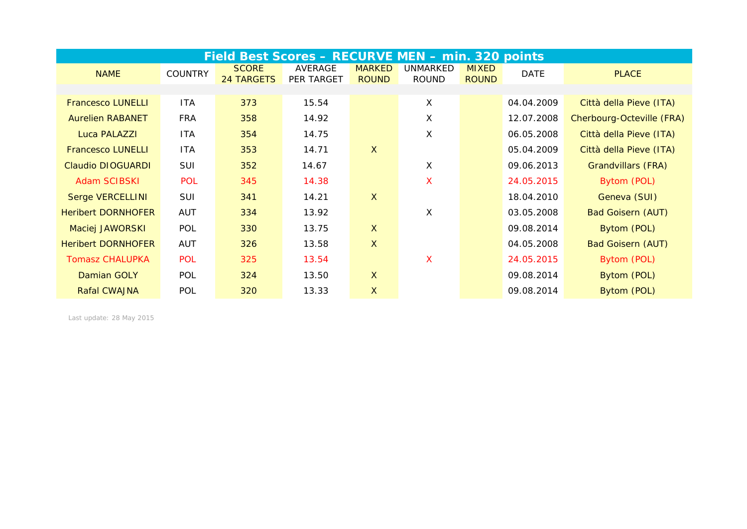|                           |                | Field Best Scores - RECURVE MEN - min. 320 points |                       |                               |                          |                              |             |                           |
|---------------------------|----------------|---------------------------------------------------|-----------------------|-------------------------------|--------------------------|------------------------------|-------------|---------------------------|
| <b>NAME</b>               | <b>COUNTRY</b> | <b>SCORE</b><br><b>24 TARGETS</b>                 | AVERAGE<br>PER TARGET | <b>MARKED</b><br><b>ROUND</b> | UNMARKED<br><b>ROUND</b> | <b>MIXED</b><br><b>ROUND</b> | <b>DATE</b> | <b>PLACE</b>              |
|                           |                |                                                   |                       |                               |                          |                              |             |                           |
| <b>Francesco LUNELLI</b>  | <b>ITA</b>     | 373                                               | 15.54                 |                               | X                        |                              | 04.04.2009  | Città della Pieve (ITA)   |
| <b>Aurelien RABANET</b>   | <b>FRA</b>     | 358                                               | 14.92                 |                               | X                        |                              | 12.07.2008  | Cherbourg-Octeville (FRA) |
| Luca PALAZZI              | <b>ITA</b>     | 354                                               | 14.75                 |                               | X                        |                              | 06.05.2008  | Città della Pieve (ITA)   |
| <b>Francesco LUNELLI</b>  | <b>ITA</b>     | 353                                               | 14.71                 | $\mathsf{X}$                  |                          |                              | 05.04.2009  | Città della Pieve (ITA)   |
| <b>Claudio DIOGUARDI</b>  | SUI            | 352                                               | 14.67                 |                               | X                        |                              | 09.06.2013  | <b>Grandvillars (FRA)</b> |
| <b>Adam SCIBSKI</b>       | <b>POL</b>     | 345                                               | 14.38                 |                               | X                        |                              | 24.05.2015  | Bytom (POL)               |
| <b>Serge VERCELLINI</b>   | SUI            | 341                                               | 14.21                 | $\mathsf{X}$                  |                          |                              | 18.04.2010  | Geneva (SUI)              |
| <b>Heribert DORNHOFER</b> | <b>AUT</b>     | 334                                               | 13.92                 |                               | X                        |                              | 03.05.2008  | <b>Bad Goisern (AUT)</b>  |
| Maciej JAWORSKI           | POL            | 330                                               | 13.75                 | $\mathsf{X}$                  |                          |                              | 09.08.2014  | Bytom (POL)               |
| <b>Heribert DORNHOFER</b> | <b>AUT</b>     | 326                                               | 13.58                 | $\mathsf{X}$                  |                          |                              | 04.05.2008  | <b>Bad Goisern (AUT)</b>  |
| <b>Tomasz CHALUPKA</b>    | <b>POL</b>     | 325                                               | 13.54                 |                               | X                        |                              | 24.05.2015  | Bytom (POL)               |
| Damian GOLY               | POL            | 324                                               | 13.50                 | $\mathsf{X}$                  |                          |                              | 09.08.2014  | Bytom (POL)               |
| <b>Rafal CWAJNA</b>       | <b>POL</b>     | 320                                               | 13.33                 | $\overline{X}$                |                          |                              | 09.08.2014  | Bytom (POL)               |

*Last update: 28 May 2015*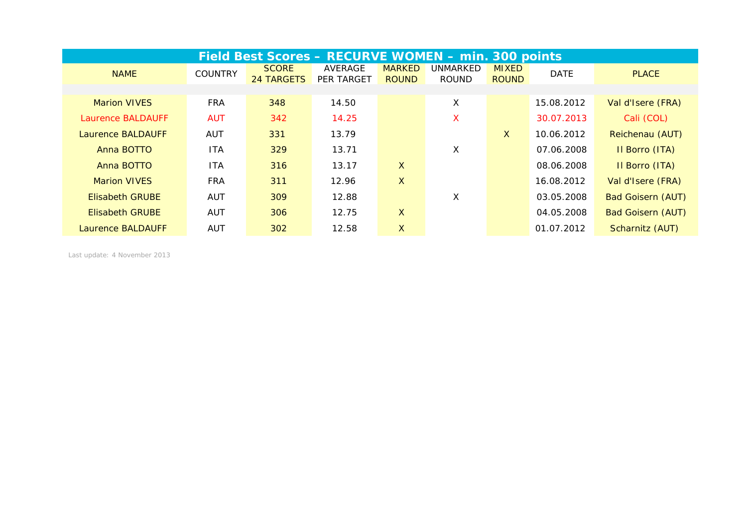|                          |                | Field Best Scores - RECURVE WOMEN - min. 300 points |                              |                               |                          |                              |             |                          |
|--------------------------|----------------|-----------------------------------------------------|------------------------------|-------------------------------|--------------------------|------------------------------|-------------|--------------------------|
| <b>NAME</b>              | <b>COUNTRY</b> | <b>SCORE</b><br><b>24 TARGETS</b>                   | AVERAGE<br><b>PER TARGET</b> | <b>MARKED</b><br><b>ROUND</b> | UNMARKED<br><b>ROUND</b> | <b>MIXED</b><br><b>ROUND</b> | <b>DATE</b> | <b>PLACE</b>             |
|                          |                |                                                     |                              |                               |                          |                              |             |                          |
| <b>Marion VIVES</b>      | <b>FRA</b>     | 348                                                 | 14.50                        |                               | X                        |                              | 15.08.2012  | Val d'Isere (FRA)        |
| <b>Laurence BALDAUFF</b> | <b>AUT</b>     | 342                                                 | 14.25                        |                               | X                        |                              | 30.07.2013  | Cali (COL)               |
| Laurence BALDAUFF        | <b>AUT</b>     | 331                                                 | 13.79                        |                               |                          | $\mathsf{X}$                 | 10.06.2012  | Reichenau (AUT)          |
| Anna BOTTO               | <b>ITA</b>     | 329                                                 | 13.71                        |                               | X                        |                              | 07.06.2008  | Il Borro (ITA)           |
| Anna BOTTO               | <b>ITA</b>     | 316                                                 | 13.17                        | $\mathsf{X}$                  |                          |                              | 08.06.2008  | Il Borro (ITA)           |
| <b>Marion VIVES</b>      | <b>FRA</b>     | 311                                                 | 12.96                        | $\mathsf{X}$                  |                          |                              | 16.08.2012  | Val d'Isere (FRA)        |
| <b>Elisabeth GRUBE</b>   | AUT            | 309                                                 | 12.88                        |                               | X                        |                              | 03.05.2008  | <b>Bad Goisern (AUT)</b> |
| <b>Elisabeth GRUBE</b>   | <b>AUT</b>     | 306                                                 | 12.75                        | $\mathsf{X}$                  |                          |                              | 04.05.2008  | <b>Bad Goisern (AUT)</b> |
| Laurence BALDAUFF        | <b>AUT</b>     | 302                                                 | 12.58                        | X.                            |                          |                              | 01.07.2012  | Scharnitz (AUT)          |

*Last update: 4 November 2013*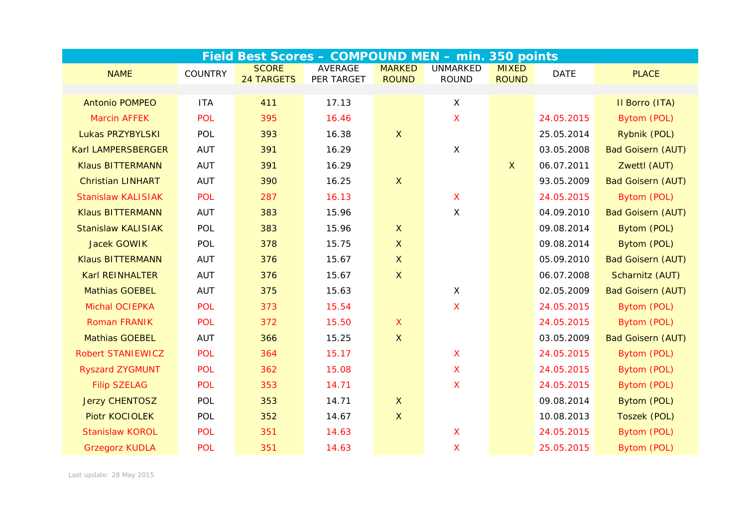|                           |                |                                   | Field Best Scores - COMPOUND MEN - min. 350 points |                               |                                 |                              |             |                          |
|---------------------------|----------------|-----------------------------------|----------------------------------------------------|-------------------------------|---------------------------------|------------------------------|-------------|--------------------------|
| <b>NAME</b>               | <b>COUNTRY</b> | <b>SCORE</b><br><b>24 TARGETS</b> | <b>AVERAGE</b><br>PER TARGET                       | <b>MARKED</b><br><b>ROUND</b> | <b>UNMARKED</b><br><b>ROUND</b> | <b>MIXED</b><br><b>ROUND</b> | <b>DATE</b> | <b>PLACE</b>             |
|                           |                |                                   |                                                    |                               |                                 |                              |             |                          |
| <b>Antonio POMPEO</b>     | <b>ITA</b>     | 411                               | 17.13                                              |                               | $\times$                        |                              |             | Il Borro (ITA)           |
| <b>Marcin AFFEK</b>       | <b>POL</b>     | 395                               | 16.46                                              |                               | $\boldsymbol{\mathsf{X}}$       |                              | 24.05.2015  | Bytom (POL)              |
| Lukas PRZYBYLSKI          | POL            | 393                               | 16.38                                              | $\mathsf X$                   |                                 |                              | 25.05.2014  | Rybnik (POL)             |
| Karl LAMPERSBERGER        | <b>AUT</b>     | 391                               | 16.29                                              |                               | $\mathsf X$                     |                              | 03.05.2008  | <b>Bad Goisern (AUT)</b> |
| <b>Klaus BITTERMANN</b>   | <b>AUT</b>     | 391                               | 16.29                                              |                               |                                 | $\mathsf{X}$                 | 06.07.2011  | Zwettl (AUT)             |
| <b>Christian LINHART</b>  | <b>AUT</b>     | 390                               | 16.25                                              | $\mathsf{X}$                  |                                 |                              | 93.05.2009  | <b>Bad Goisern (AUT)</b> |
| <b>Stanislaw KALISIAK</b> | <b>POL</b>     | 287                               | 16.13                                              |                               | X                               |                              | 24.05.2015  | Bytom (POL)              |
| <b>Klaus BITTERMANN</b>   | <b>AUT</b>     | 383                               | 15.96                                              |                               | $\times$                        |                              | 04.09.2010  | <b>Bad Goisern (AUT)</b> |
| <b>Stanislaw KALISIAK</b> | POL            | 383                               | 15.96                                              | $\mathsf{X}$                  |                                 |                              | 09.08.2014  | Bytom (POL)              |
| <b>Jacek GOWIK</b>        | POL            | 378                               | 15.75                                              | $\mathsf{X}$                  |                                 |                              | 09.08.2014  | Bytom (POL)              |
| <b>Klaus BITTERMANN</b>   | <b>AUT</b>     | 376                               | 15.67                                              | $\mathsf{X}$                  |                                 |                              | 05.09.2010  | <b>Bad Goisern (AUT)</b> |
| <b>Karl REINHALTER</b>    | <b>AUT</b>     | 376                               | 15.67                                              | $\mathsf X$                   |                                 |                              | 06.07.2008  | Scharnitz (AUT)          |
| <b>Mathias GOEBEL</b>     | <b>AUT</b>     | 375                               | 15.63                                              |                               | $\sf X$                         |                              | 02.05.2009  | <b>Bad Goisern (AUT)</b> |
| Michal OCIEPKA            | POL            | 373                               | 15.54                                              |                               | $\boldsymbol{\mathsf{X}}$       |                              | 24.05.2015  | Bytom (POL)              |
| <b>Roman FRANIK</b>       | POL            | 372                               | 15.50                                              | $\mathsf{X}$                  |                                 |                              | 24.05.2015  | Bytom (POL)              |
| <b>Mathias GOEBEL</b>     | <b>AUT</b>     | 366                               | 15.25                                              | $\mathsf{X}$                  |                                 |                              | 03.05.2009  | <b>Bad Goisern (AUT)</b> |
| <b>Robert STANIEWICZ</b>  | <b>POL</b>     | 364                               | 15.17                                              |                               | $\mathsf{X}$                    |                              | 24.05.2015  | Bytom (POL)              |
| <b>Ryszard ZYGMUNT</b>    | <b>POL</b>     | 362                               | 15.08                                              |                               | $\boldsymbol{\mathsf{X}}$       |                              | 24.05.2015  | Bytom (POL)              |
| <b>Filip SZELAG</b>       | <b>POL</b>     | 353                               | 14.71                                              |                               | $\boldsymbol{\mathsf{X}}$       |                              | 24.05.2015  | Bytom (POL)              |
| <b>Jerzy CHENTOSZ</b>     | POL            | 353                               | 14.71                                              | $\mathsf{X}$                  |                                 |                              | 09.08.2014  | Bytom (POL)              |
| <b>Piotr KOCIOLEK</b>     | <b>POL</b>     | 352                               | 14.67                                              | $\mathsf{X}$                  |                                 |                              | 10.08.2013  | Toszek (POL)             |
| <b>Stanislaw KOROL</b>    | <b>POL</b>     | 351                               | 14.63                                              |                               | X                               |                              | 24.05.2015  | Bytom (POL)              |
| <b>Grzegorz KUDLA</b>     | <b>POL</b>     | 351                               | 14.63                                              |                               | X                               |                              | 25.05.2015  | Bytom (POL)              |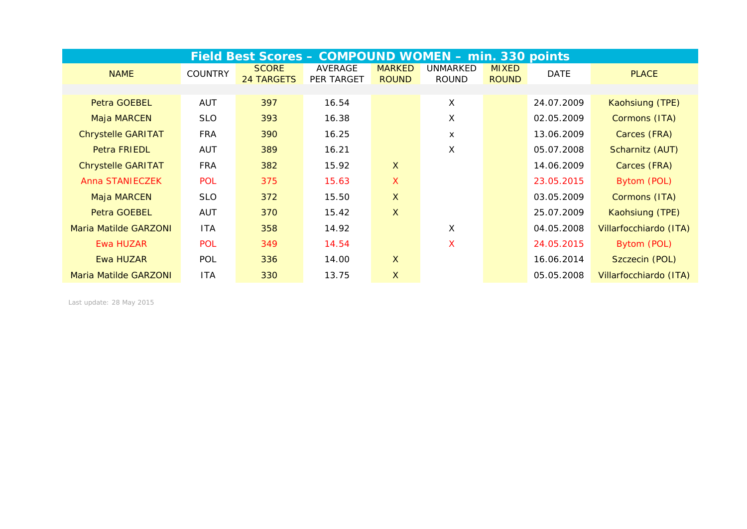|                              |                | Field Best Scores - COMPOUND WOMEN - min. 330 points |                              |                               |                          |                              |             |                        |
|------------------------------|----------------|------------------------------------------------------|------------------------------|-------------------------------|--------------------------|------------------------------|-------------|------------------------|
| <b>NAME</b>                  | <b>COUNTRY</b> | <b>SCORE</b><br><b>24 TARGETS</b>                    | AVERAGE<br><b>PER TARGET</b> | <b>MARKED</b><br><b>ROUND</b> | UNMARKED<br><b>ROUND</b> | <b>MIXED</b><br><b>ROUND</b> | <b>DATE</b> | <b>PLACE</b>           |
|                              |                |                                                      |                              |                               |                          |                              |             |                        |
| Petra GOEBEL                 | AUT            | 397                                                  | 16.54                        |                               | X                        |                              | 24.07.2009  | Kaohsiung (TPE)        |
| Maja MARCEN                  | <b>SLO</b>     | 393                                                  | 16.38                        |                               | X                        |                              | 02.05.2009  | Cormons (ITA)          |
| <b>Chrystelle GARITAT</b>    | <b>FRA</b>     | 390                                                  | 16.25                        |                               | X                        |                              | 13.06.2009  | Carces (FRA)           |
| <b>Petra FRIEDL</b>          | <b>AUT</b>     | 389                                                  | 16.21                        |                               | X                        |                              | 05.07.2008  | Scharnitz (AUT)        |
| <b>Chrystelle GARITAT</b>    | <b>FRA</b>     | 382                                                  | 15.92                        | $\mathsf{X}$                  |                          |                              | 14.06.2009  | Carces (FRA)           |
| Anna STANIECZEK              | <b>POL</b>     | 375                                                  | 15.63                        | $\boldsymbol{\mathsf{X}}$     |                          |                              | 23.05.2015  | Bytom (POL)            |
| Maja MARCEN                  | <b>SLO</b>     | 372                                                  | 15.50                        | $\boldsymbol{\mathsf{X}}$     |                          |                              | 03.05.2009  | Cormons (ITA)          |
| Petra GOEBEL                 | <b>AUT</b>     | 370                                                  | 15.42                        | $\boldsymbol{\mathsf{X}}$     |                          |                              | 25.07.2009  | Kaohsiung (TPE)        |
| <b>Maria Matilde GARZONI</b> | <b>ITA</b>     | 358                                                  | 14.92                        |                               | X                        |                              | 04.05.2008  | Villarfocchiardo (ITA) |
| <b>Ewa HUZAR</b>             | <b>POL</b>     | 349                                                  | 14.54                        |                               | X                        |                              | 24.05.2015  | Bytom (POL)            |
| Ewa HUZAR                    | <b>POL</b>     | 336                                                  | 14.00                        | $\mathsf{X}$                  |                          |                              | 16.06.2014  | Szczecin (POL)         |
| <b>Maria Matilde GARZONI</b> | <b>ITA</b>     | 330                                                  | 13.75                        | $\boldsymbol{\mathsf{X}}$     |                          |                              | 05.05.2008  | Villarfocchiardo (ITA) |

*Last update: 28 May 2015*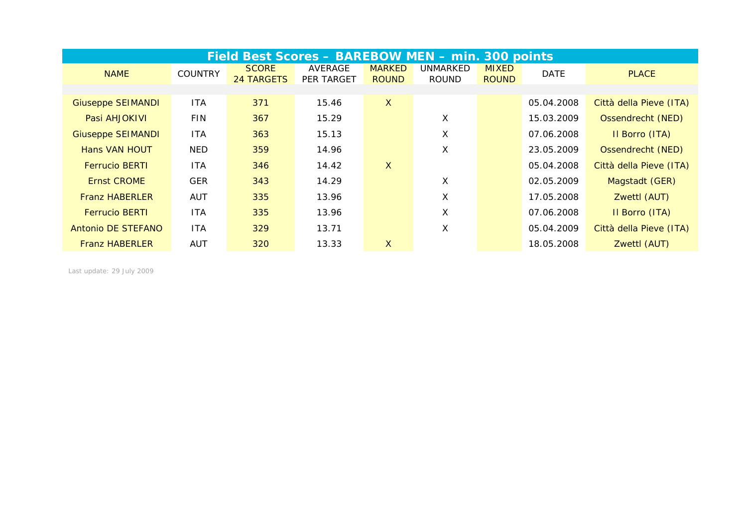|                          |                | Field Best Scores - BAREBOW MEN - min. 300 points |                              |                               |                          |                              |             |                         |
|--------------------------|----------------|---------------------------------------------------|------------------------------|-------------------------------|--------------------------|------------------------------|-------------|-------------------------|
| <b>NAME</b>              | <b>COUNTRY</b> | <b>SCORE</b><br>24 TARGETS                        | AVERAGE<br><b>PER TARGET</b> | <b>MARKED</b><br><b>ROUND</b> | UNMARKED<br><b>ROUND</b> | <b>MIXED</b><br><b>ROUND</b> | <b>DATE</b> | <b>PLACE</b>            |
|                          |                |                                                   |                              |                               |                          |                              |             |                         |
| <b>Giuseppe SEIMANDI</b> | <b>ITA</b>     | 371                                               | 15.46                        | $\mathsf{X}$                  |                          |                              | 05.04.2008  | Città della Pieve (ITA) |
| Pasi AHJOKIVI            | <b>FIN</b>     | 367                                               | 15.29                        |                               | X                        |                              | 15.03.2009  | Ossendrecht (NED)       |
| <b>Giuseppe SEIMANDI</b> | <b>ITA</b>     | 363                                               | 15.13                        |                               | X                        |                              | 07.06.2008  | Il Borro (ITA)          |
| <b>Hans VAN HOUT</b>     | <b>NED</b>     | 359                                               | 14.96                        |                               | X                        |                              | 23.05.2009  | Ossendrecht (NED)       |
| <b>Ferrucio BERTI</b>    | <b>ITA</b>     | 346                                               | 14.42                        | $\mathsf{X}$                  |                          |                              | 05.04.2008  | Città della Pieve (ITA) |
| <b>Ernst CROME</b>       | <b>GER</b>     | 343                                               | 14.29                        |                               | Χ                        |                              | 02.05.2009  | Magstadt (GER)          |
| <b>Franz HABERLER</b>    | <b>AUT</b>     | 335                                               | 13.96                        |                               | X                        |                              | 17.05.2008  | Zwettl (AUT)            |
| <b>Ferrucio BERTI</b>    | <b>ITA</b>     | 335                                               | 13.96                        |                               | X                        |                              | 07.06.2008  | Il Borro (ITA)          |
| Antonio DE STEFANO       | <b>ITA</b>     | 329                                               | 13.71                        |                               | X                        |                              | 05.04.2009  | Città della Pieve (ITA) |
| <b>Franz HABERLER</b>    | <b>AUT</b>     | 320                                               | 13.33                        | X                             |                          |                              | 18.05.2008  | Zwettl (AUT)            |

*Last update: 29 July 2009*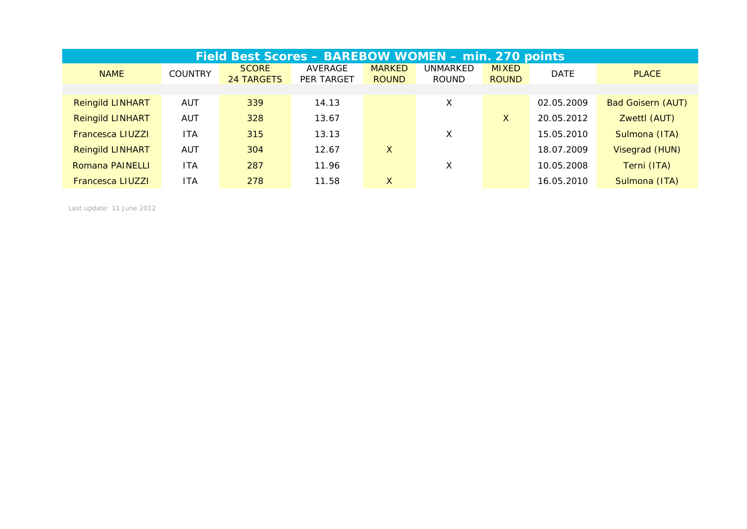|                         | Field Best Scores - BAREBOW WOMEN - min. 270 points |                                   |                              |                               |                          |                              |             |                          |  |  |  |  |  |
|-------------------------|-----------------------------------------------------|-----------------------------------|------------------------------|-------------------------------|--------------------------|------------------------------|-------------|--------------------------|--|--|--|--|--|
| <b>NAME</b>             | <b>COUNTRY</b>                                      | <b>SCORE</b><br><b>24 TARGETS</b> | AVERAGE<br><b>PER TARGET</b> | <b>MARKED</b><br><b>ROUND</b> | UNMARKED<br><b>ROUND</b> | <b>MIXED</b><br><b>ROUND</b> | <b>DATE</b> | <b>PLACE</b>             |  |  |  |  |  |
|                         |                                                     |                                   |                              |                               |                          |                              |             |                          |  |  |  |  |  |
| <b>Reingild LINHART</b> | <b>AUT</b>                                          | 339                               | 14.13                        |                               | Χ                        |                              | 02.05.2009  | <b>Bad Goisern (AUT)</b> |  |  |  |  |  |
| <b>Reingild LINHART</b> | <b>AUT</b>                                          | 328                               | 13.67                        |                               |                          | X                            | 20.05.2012  | Zwettl (AUT)             |  |  |  |  |  |
| <b>Francesca LIUZZI</b> | <b>ITA</b>                                          | 315                               | 13.13                        |                               | X                        |                              | 15.05.2010  | Sulmona (ITA)            |  |  |  |  |  |
| <b>Reingild LINHART</b> | <b>AUT</b>                                          | 304                               | 12.67                        | X                             |                          |                              | 18.07.2009  | Visegrad (HUN)           |  |  |  |  |  |
| Romana PAINELLI         | <b>ITA</b>                                          | 287                               | 11.96                        |                               | X                        |                              | 10.05.2008  | Terni (ITA)              |  |  |  |  |  |
| <b>Francesca LIUZZI</b> | <b>ITA</b>                                          | 278                               | 11.58                        | X                             |                          |                              | 16.05.2010  | Sulmona (ITA)            |  |  |  |  |  |

*Last update: 11 June 2012*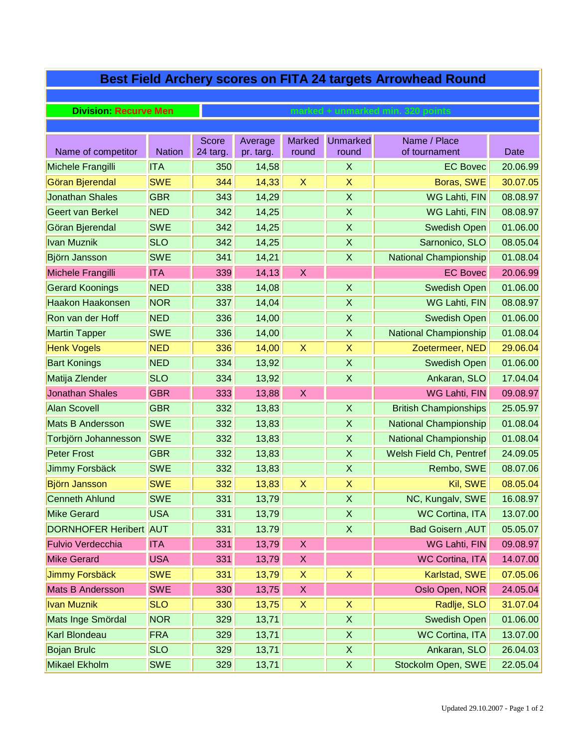# **Best Field Archery scores on FITA 24 targets Arrowhead Round**

**Division: Recurve Men** 

| Name of competitor            | <b>Nation</b> | <b>Score</b><br>24 targ. | Average<br>pr. targ. | <b>Marked</b><br>round    | <b>Unmarked</b><br>round | Name / Place<br>of tournament | <b>Date</b> |
|-------------------------------|---------------|--------------------------|----------------------|---------------------------|--------------------------|-------------------------------|-------------|
| Michele Frangilli             | <b>ITA</b>    | 350                      | 14,58                |                           | $\mathsf{X}$             | <b>EC Bovec</b>               | 20.06.99    |
| Göran Bjerendal               | <b>SWE</b>    | 344                      | 14,33                | $\boldsymbol{\mathsf{X}}$ | X                        | Boras, SWE                    | 30.07.05    |
| <b>Jonathan Shales</b>        | <b>GBR</b>    | 343                      | 14,29                |                           | $\sf X$                  | WG Lahti, FIN                 | 08.08.97    |
| <b>Geert van Berkel</b>       | <b>NED</b>    | 342                      | 14,25                |                           | X                        | WG Lahti, FIN                 | 08.08.97    |
| Göran Bjerendal               | <b>SWE</b>    | 342                      | 14,25                |                           | X                        | <b>Swedish Open</b>           | 01.06.00    |
| <b>Ivan Muznik</b>            | <b>SLO</b>    | 342                      | 14,25                |                           | X                        | Sarnonico, SLO                | 08.05.04    |
| Björn Jansson                 | <b>SWE</b>    | 341                      | 14,21                |                           | $\sf X$                  | <b>National Championship</b>  | 01.08.04    |
| Michele Frangilli             | <b>ITA</b>    | 339                      | 14,13                | $\boldsymbol{\mathsf{X}}$ |                          | <b>EC Bovec</b>               | 20.06.99    |
| <b>Gerard Koonings</b>        | <b>NED</b>    | 338                      | 14,08                |                           | X                        | <b>Swedish Open</b>           | 01.06.00    |
| <b>Haakon Haakonsen</b>       | <b>NOR</b>    | 337                      | 14,04                |                           | X                        | WG Lahti, FIN                 | 08.08.97    |
| Ron van der Hoff              | <b>NED</b>    | 336                      | 14,00                |                           | X                        | <b>Swedish Open</b>           | 01.06.00    |
| <b>Martin Tapper</b>          | <b>SWE</b>    | 336                      | 14,00                |                           | X                        | <b>National Championship</b>  | 01.08.04    |
| <b>Henk Vogels</b>            | <b>NED</b>    | 336                      | 14,00                | $\boldsymbol{\mathsf{X}}$ | X                        | Zoetermeer, NED               | 29.06.04    |
| <b>Bart Konings</b>           | <b>NED</b>    | 334                      | 13,92                |                           | X                        | <b>Swedish Open</b>           | 01.06.00    |
| Matija Zlender                | <b>SLO</b>    | 334                      | 13,92                |                           | $\sf X$                  | Ankaran, SLO                  | 17.04.04    |
| <b>Jonathan Shales</b>        | <b>GBR</b>    | 333                      | 13,88                | $\boldsymbol{\mathsf{X}}$ |                          | WG Lahti, FIN                 | 09.08.97    |
| <b>Alan Scovell</b>           | <b>GBR</b>    | 332                      | 13,83                |                           | X                        | <b>British Championships</b>  | 25.05.97    |
| <b>Mats B Andersson</b>       | <b>SWE</b>    | 332                      | 13,83                |                           | $\sf X$                  | <b>National Championship</b>  | 01.08.04    |
| Torbjörn Johannesson          | <b>SWE</b>    | 332                      | 13,83                |                           | X                        | <b>National Championship</b>  | 01.08.04    |
| <b>Peter Frost</b>            | <b>GBR</b>    | 332                      | 13,83                |                           | X                        | Welsh Field Ch, Pentref       | 24.09.05    |
| Jimmy Forsbäck                | <b>SWE</b>    | 332                      | 13,83                |                           | $\sf X$                  | Rembo, SWE                    | 08.07.06    |
| <b>Björn Jansson</b>          | <b>SWE</b>    | 332                      | 13,83                | $\boldsymbol{\mathsf{X}}$ | X                        | Kil, SWE                      | 08.05.04    |
| <b>Cenneth Ahlund</b>         | <b>SWE</b>    | 331                      | 13,79                |                           | $\pmb{\mathsf{X}}$       | NC, Kungalv, SWE              | 16.08.97    |
| <b>Mike Gerard</b>            | <b>USA</b>    | 331                      | 13,79                |                           | $\sf X$                  | <b>WC Cortina, ITA</b>        | 13.07.00    |
| <b>DORNHOFER Heribert AUT</b> |               | 331                      | 13.79                |                           | $\sf X$                  | <b>Bad Goisern, AUT</b>       | 05.05.07    |
| <b>Fulvio Verdecchia</b>      | <b>ITA</b>    | 331                      | 13,79                | X                         |                          | WG Lahti, FIN                 | 09.08.97    |
| <b>Mike Gerard</b>            | <b>USA</b>    | 331                      | 13,79                | X                         |                          | <b>WC Cortina, ITA</b>        | 14.07.00    |
| <b>Jimmy Forsbäck</b>         | <b>SWE</b>    | 331                      | 13,79                | $\mathsf X$               | $\mathsf X$              | Karlstad, SWE                 | 07.05.06    |
| Mats B Andersson              | <b>SWE</b>    | 330                      | 13,75                | X                         |                          | Oslo Open, NOR                | 24.05.04    |
| <b>Ivan Muznik</b>            | <b>SLO</b>    | 330                      | 13,75                | $\boldsymbol{\mathsf{X}}$ | X                        | Radlje, SLO                   | 31.07.04    |
| Mats Inge Smördal             | <b>NOR</b>    | 329                      | 13,71                |                           | $\mathsf X$              | <b>Swedish Open</b>           | 01.06.00    |
| Karl Blondeau                 | <b>FRA</b>    | 329                      | 13,71                |                           | X                        | <b>WC Cortina, ITA</b>        | 13.07.00    |
| <b>Bojan Brulc</b>            | <b>SLO</b>    | 329                      | 13,71                |                           | X                        | Ankaran, SLO                  | 26.04.03    |
| Mikael Ekholm                 | <b>SWE</b>    | 329                      | 13,71                |                           | $\mathsf X$              | Stockolm Open, SWE            | 22.05.04    |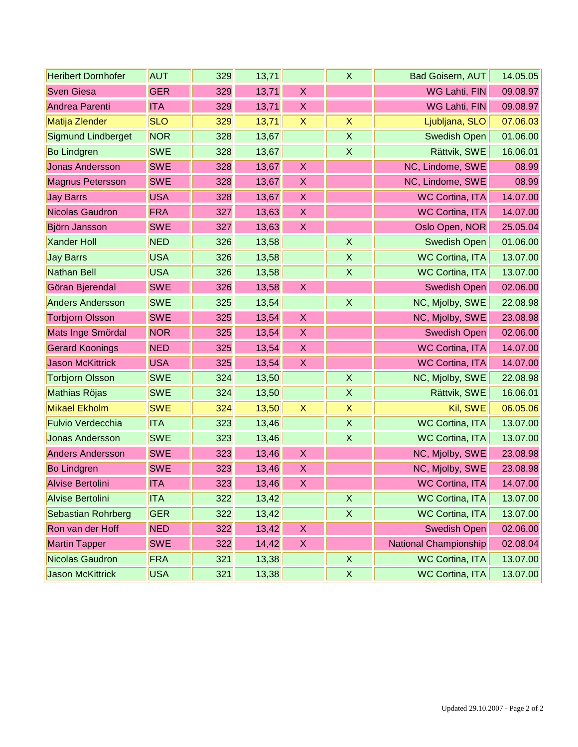| <b>Heribert Dornhofer</b> | <b>AUT</b> | 329 | 13,71 |                           | X                  | <b>Bad Goisern, AUT</b> | 14.05.05 |
|---------------------------|------------|-----|-------|---------------------------|--------------------|-------------------------|----------|
| <b>Sven Giesa</b>         | <b>GER</b> | 329 | 13,71 | $\mathsf{X}$              |                    | WG Lahti, FIN           | 09.08.97 |
| Andrea Parenti            | <b>ITA</b> | 329 | 13,71 | $\mathsf X$               |                    | WG Lahti, FIN           | 09.08.97 |
| Matija Zlender            | <b>SLO</b> | 329 | 13,71 | $\mathsf X$               | $\sf X$            | Ljubljana, SLO          | 07.06.03 |
| Sigmund Lindberget        | <b>NOR</b> | 328 | 13,67 |                           | $\sf X$            | <b>Swedish Open</b>     | 01.06.00 |
| <b>Bo Lindgren</b>        | <b>SWE</b> | 328 | 13,67 |                           | $\mathsf{X}$       | Rättvik, SWE            | 16.06.01 |
| <b>Jonas Andersson</b>    | <b>SWE</b> | 328 | 13,67 | $\mathsf X$               |                    | NC, Lindome, SWE        | 08.99    |
| <b>Magnus Petersson</b>   | <b>SWE</b> | 328 | 13,67 | $\mathsf{X}$              |                    | NC, Lindome, SWE        | 08.99    |
| <b>Jay Barrs</b>          | <b>USA</b> | 328 | 13,67 | $\mathsf X$               |                    | <b>WC Cortina, ITA</b>  | 14.07.00 |
| <b>Nicolas Gaudron</b>    | <b>FRA</b> | 327 | 13,63 | $\mathsf X$               |                    | <b>WC Cortina, ITA</b>  | 14.07.00 |
| Björn Jansson             | <b>SWE</b> | 327 | 13,63 | $\mathsf{X}$              |                    | Oslo Open, NOR          | 25.05.04 |
| <b>Xander Holl</b>        | <b>NED</b> | 326 | 13,58 |                           | $\mathsf{X}$       | Swedish Open            | 01.06.00 |
| <b>Jay Barrs</b>          | <b>USA</b> | 326 | 13,58 |                           | $\pmb{\mathsf{X}}$ | <b>WC Cortina, ITA</b>  | 13.07.00 |
| <b>Nathan Bell</b>        | <b>USA</b> | 326 | 13,58 |                           | $\mathsf X$        | <b>WC Cortina, ITA</b>  | 13.07.00 |
| Göran Bjerendal           | <b>SWE</b> | 326 | 13,58 | $\boldsymbol{X}$          |                    | <b>Swedish Open</b>     | 02.06.00 |
| <b>Anders Andersson</b>   | <b>SWE</b> | 325 | 13,54 |                           | $\sf X$            | NC, Mjolby, SWE         | 22.08.98 |
| <b>Torbjorn Olsson</b>    | <b>SWE</b> | 325 | 13,54 | $\mathsf X$               |                    | NC, Mjolby, SWE         | 23.08.98 |
| Mats Inge Smördal         | <b>NOR</b> | 325 | 13,54 | $\mathsf X$               |                    | <b>Swedish Open</b>     | 02.06.00 |
| <b>Gerard Koonings</b>    | <b>NED</b> | 325 | 13,54 | $\mathsf X$               |                    | <b>WC Cortina, ITA</b>  | 14.07.00 |
| <b>Jason McKittrick</b>   | <b>USA</b> | 325 | 13,54 | $\boldsymbol{X}$          |                    | <b>WC Cortina, ITA</b>  | 14.07.00 |
| <b>Torbjorn Olsson</b>    | <b>SWE</b> | 324 | 13,50 |                           | $\sf X$            | NC, Mjolby, SWE         | 22.08.98 |
| Mathias Röjas             | <b>SWE</b> | 324 | 13,50 |                           | X                  | Rättvik, SWE            | 16.06.01 |
| <b>Mikael Ekholm</b>      | <b>SWE</b> | 324 | 13,50 | $\mathsf{X}$              | $\pmb{\mathsf{X}}$ | Kil, SWE                | 06.05.06 |
| <b>Fulvio Verdecchia</b>  | <b>ITA</b> | 323 | 13,46 |                           | $\sf X$            | <b>WC Cortina, ITA</b>  | 13.07.00 |
| <b>Jonas Andersson</b>    | <b>SWE</b> | 323 | 13,46 |                           | $\pmb{\mathsf{X}}$ | <b>WC Cortina, ITA</b>  | 13.07.00 |
| <b>Anders Andersson</b>   | <b>SWE</b> | 323 | 13,46 | $\boldsymbol{\mathsf{X}}$ |                    | NC, Mjolby, SWE         | 23.08.98 |
| <b>Bo Lindgren</b>        | <b>SWE</b> | 323 | 13,46 | $\mathsf X$               |                    | NC, Mjolby, SWE         | 23.08.98 |
| Alvise Bertolini          | <b>ITA</b> | 323 | 13,46 | $\boldsymbol{\mathsf{X}}$ |                    | <b>WC Cortina, ITA</b>  | 14.07.00 |
| Alvise Bertolini          | <b>ITA</b> | 322 | 13,42 |                           | X                  | <b>WC Cortina, ITA</b>  | 13.07.00 |
| Sebastian Rohrberg        | <b>GER</b> | 322 | 13,42 |                           | $\mathsf X$        | <b>WC Cortina, ITA</b>  | 13.07.00 |
| Ron van der Hoff          | <b>NED</b> | 322 | 13,42 | X                         |                    | <b>Swedish Open</b>     | 02.06.00 |
| <b>Martin Tapper</b>      | <b>SWE</b> | 322 | 14,42 | X                         |                    | National Championship   | 02.08.04 |
| Nicolas Gaudron           | <b>FRA</b> | 321 | 13,38 |                           | $\mathsf X$        | <b>WC Cortina, ITA</b>  | 13.07.00 |
| <b>Jason McKittrick</b>   | <b>USA</b> | 321 | 13,38 |                           | X                  | <b>WC Cortina, ITA</b>  | 13.07.00 |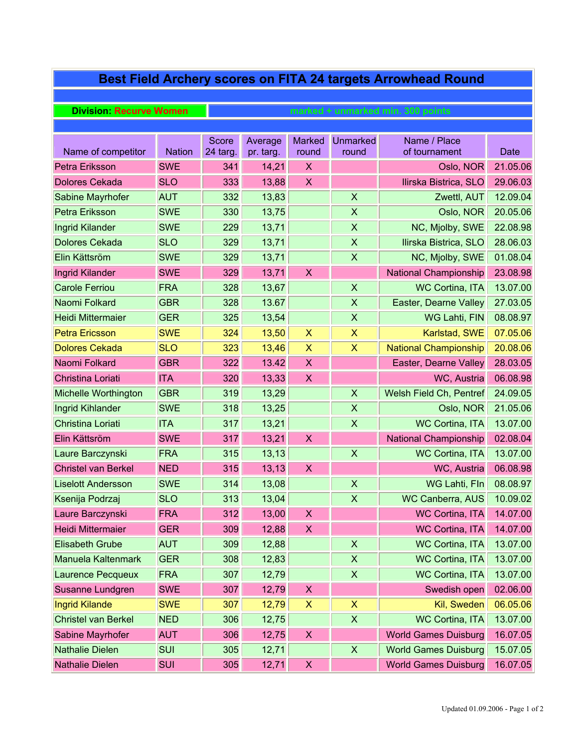# **Best Field Archery scores on FITA 24 targets Arrowhead Round**

#### **Division: Recurve Women**

| Name of competitor         | <b>Nation</b> | Score<br>24 targ. | Average<br>pr. targ. | <b>Marked</b><br>round    | <b>Unmarked</b><br>round  | Name / Place<br>of tournament | Date     |
|----------------------------|---------------|-------------------|----------------------|---------------------------|---------------------------|-------------------------------|----------|
| Petra Eriksson             | <b>SWE</b>    | 341               | 14,21                | $\pmb{\mathsf{X}}$        |                           | Oslo, NOR                     | 21.05.06 |
| <b>Dolores Cekada</b>      | <b>SLO</b>    | 333               | 13,88                | $\mathsf X$               |                           | Ilirska Bistrica, SLO         | 29.06.03 |
| Sabine Mayrhofer           | <b>AUT</b>    | 332               | 13,83                |                           | $\boldsymbol{\mathsf{X}}$ | Zwettl, AUT                   | 12.09.04 |
| Petra Eriksson             | <b>SWE</b>    | 330               | 13,75                |                           | $\sf X$                   | Oslo, NOR                     | 20.05.06 |
| Ingrid Kilander            | <b>SWE</b>    | 229               | 13,71                |                           | $\pmb{\mathsf{X}}$        | NC, Miolby, SWE               | 22.08.98 |
| Dolores Cekada             | <b>SLO</b>    | 329               | 13,71                |                           | $\boldsymbol{\mathsf{X}}$ | Ilirska Bistrica, SLO         | 28.06.03 |
| Elin Kättsröm              | <b>SWE</b>    | 329               | 13,71                |                           | $\pmb{\mathsf{X}}$        | NC, Mjolby, SWE               | 01.08.04 |
| <b>Ingrid Kilander</b>     | <b>SWE</b>    | 329               | 13,71                | X                         |                           | <b>National Championship</b>  | 23.08.98 |
| <b>Carole Ferriou</b>      | FRA           | 328               | 13,67                |                           | $\boldsymbol{\mathsf{X}}$ | <b>WC Cortina, ITA</b>        | 13.07.00 |
| Naomi Folkard              | <b>GBR</b>    | 328               | 13.67                |                           | $\pmb{\mathsf{X}}$        | Easter, Dearne Valley         | 27.03.05 |
| Heidi Mittermaier          | <b>GER</b>    | 325               | 13,54                |                           | $\mathsf X$               | WG Lahti, FIN                 | 08.08.97 |
| <b>Petra Ericsson</b>      | <b>SWE</b>    | 324               | 13,50                | $\boldsymbol{\mathsf{X}}$ | $\boldsymbol{\mathsf{X}}$ | Karlstad, SWE                 | 07.05.06 |
| <b>Dolores Cekada</b>      | <b>SLO</b>    | 323               | 13,46                | X                         | $\overline{\mathsf{X}}$   | <b>National Championship</b>  | 20.08.06 |
| Naomi Folkard              | <b>GBR</b>    | 322               | 13.42                | X                         |                           | Easter, Dearne Valley         | 28.03.05 |
| Christina Loriati          | <b>ITA</b>    | 320               | 13,33                | X                         |                           | WC, Austria                   | 06.08.98 |
| Michelle Worthington       | <b>GBR</b>    | 319               | 13,29                |                           | $\mathsf{X}$              | Welsh Field Ch, Pentref       | 24.09.05 |
| Ingrid Kihlander           | <b>SWE</b>    | 318               | 13,25                |                           | $\boldsymbol{\mathsf{X}}$ | Oslo, NOR                     | 21.05.06 |
| Christina Loriati          | <b>ITA</b>    | 317               | 13,21                |                           | $\boldsymbol{\mathsf{X}}$ | <b>WC Cortina, ITA</b>        | 13.07.00 |
| Elin Kättsröm              | <b>SWE</b>    | 317               | 13,21                | $\mathsf X$               |                           | <b>National Championship</b>  | 02.08.04 |
| Laure Barczynski           | FRA           | 315               | 13,13                |                           | $\boldsymbol{\mathsf{X}}$ | <b>WC Cortina, ITA</b>        | 13.07.00 |
| <b>Christel van Berkel</b> | <b>NED</b>    | 315               | 13,13                | $\boldsymbol{\mathsf{X}}$ |                           | WC, Austria                   | 06.08.98 |
| <b>Liselott Andersson</b>  | <b>SWE</b>    | 314               | 13,08                |                           | $\sf X$                   | WG Lahti, Fln                 | 08.08.97 |
| Ksenija Podrzaj            | <b>SLO</b>    | 313               | 13,04                |                           | $\pmb{\mathsf{X}}$        | <b>WC Canberra, AUS</b>       | 10.09.02 |
| Laure Barczynski           | <b>FRA</b>    | 312               | 13,00                | $\boldsymbol{\mathsf{X}}$ |                           | <b>WC Cortina, ITA</b>        | 14.07.00 |
| <b>Heidi Mittermaier</b>   | <b>GER</b>    | 309               | 12,88                | $\mathsf X$               |                           | <b>WC Cortina, ITA</b>        | 14.07.00 |
| <b>Elisabeth Grube</b>     | <b>AUT</b>    | 309               | 12,88                |                           | $\boldsymbol{\mathsf{X}}$ | <b>WC Cortina, ITA</b>        | 13.07.00 |
| Manuela Kaltenmark         | <b>GER</b>    | 308               | 12,83                |                           | X                         | <b>WC Cortina, ITA</b>        | 13.07.00 |
| Laurence Pecqueux          | FRA           | 307               | 12,79                |                           | $\pmb{\mathsf{X}}$        | <b>WC Cortina, ITA</b>        | 13.07.00 |
| Susanne Lundgren           | <b>SWE</b>    | 307               | 12,79                | X                         |                           | Swedish open                  | 02.06.00 |
| <b>Ingrid Kilande</b>      | <b>SWE</b>    | 307               | 12,79                | X                         | X                         | Kil, Sweden                   | 06.05.06 |
| Christel van Berkel        | <b>NED</b>    | 306               | 12,75                |                           | $\pmb{\mathsf{X}}$        | <b>WC Cortina, ITA</b>        | 13.07.00 |
| Sabine Mayrhofer           | <b>AUT</b>    | 306               | 12,75                | X                         |                           | <b>World Games Duisburg</b>   | 16.07.05 |
| <b>Nathalie Dielen</b>     | SUI           | 305               | 12,71                |                           | $\mathsf X$               | <b>World Games Duisburg</b>   | 15.07.05 |
| <b>Nathalie Dielen</b>     | SUI           | 305               | 12,71                | X                         |                           | <b>World Games Duisburg</b>   | 16.07.05 |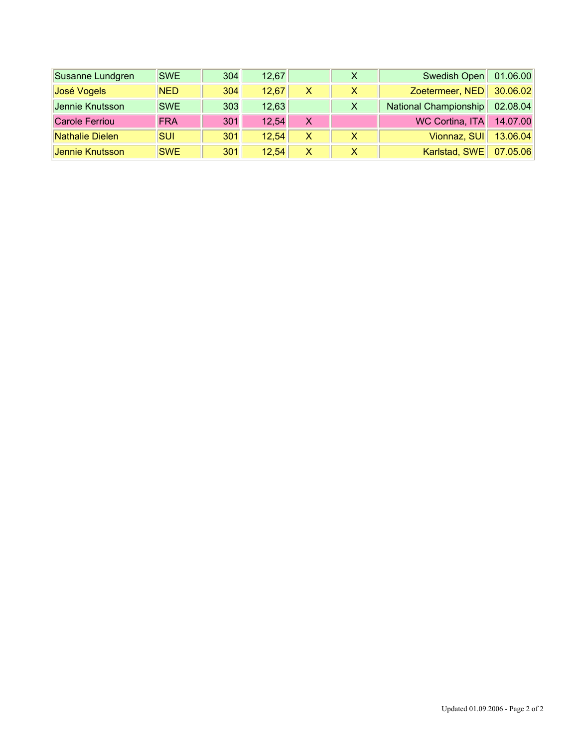| Susanne Lundgren      | <b>SWE</b> | 304 | 12,67 |   | $\mathsf{X}$ | Swedish Open          | 01.06.00 |
|-----------------------|------------|-----|-------|---|--------------|-----------------------|----------|
| José Vogels           | <b>NED</b> | 304 | 12.67 | X |              | Zoetermeer, NED       | 30.06.02 |
| Jennie Knutsson       | <b>SWE</b> | 303 | 12,63 |   | X            | National Championship | 02.08.04 |
| <b>Carole Ferriou</b> | <b>FRA</b> | 301 | 12,54 | X |              | WC Cortina, ITA       | 14.07.00 |
| Nathalie Dielen       | <b>SUI</b> | 301 | 12.54 | X | x            | Vionnaz, SUI          | 13.06.04 |
| Jennie Knutsson       | <b>SWE</b> | 301 | 12.54 | X |              | Karlstad, SWE         | 07.05.06 |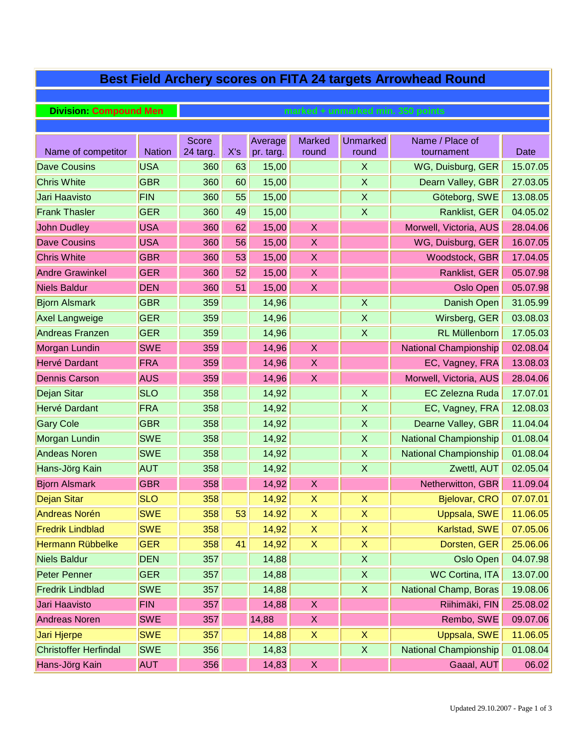|                                           | <b>Best Field Archery scores on FITA 24 targets Arrowhead Round</b> |                 |     |                    |                           |                           |                                   |                         |  |  |  |  |  |
|-------------------------------------------|---------------------------------------------------------------------|-----------------|-----|--------------------|---------------------------|---------------------------|-----------------------------------|-------------------------|--|--|--|--|--|
|                                           |                                                                     |                 |     |                    |                           |                           |                                   |                         |  |  |  |  |  |
| <b>Division: Compound Men</b>             |                                                                     |                 |     |                    |                           |                           | marked + unmarked min. 350 points |                         |  |  |  |  |  |
|                                           |                                                                     |                 |     |                    |                           |                           |                                   |                         |  |  |  |  |  |
|                                           | <b>Nation</b>                                                       | Score           | X's | Average            | <b>Marked</b>             | <b>Unmarked</b>           | Name / Place of                   |                         |  |  |  |  |  |
| Name of competitor<br><b>Dave Cousins</b> | <b>USA</b>                                                          | 24 targ.<br>360 | 63  | pr. targ.<br>15,00 | round                     | round<br>$\mathsf{X}$     | tournament<br>WG, Duisburg, GER   | <b>Date</b><br>15.07.05 |  |  |  |  |  |
| <b>Chris White</b>                        | <b>GBR</b>                                                          | 360             | 60  | 15,00              |                           | $\boldsymbol{\mathsf{X}}$ | Dearn Valley, GBR                 | 27.03.05                |  |  |  |  |  |
|                                           | <b>FIN</b>                                                          | 360             | 55  |                    |                           | $\sf X$                   | Göteborg, SWE                     | 13.08.05                |  |  |  |  |  |
| Jari Haavisto<br><b>Frank Thasler</b>     |                                                                     |                 |     | 15,00              |                           | $\boldsymbol{\mathsf{X}}$ |                                   | 04.05.02                |  |  |  |  |  |
|                                           | <b>GER</b>                                                          | 360             | 49  | 15,00              |                           |                           | Ranklist, GER                     |                         |  |  |  |  |  |
| <b>John Dudley</b>                        | <b>USA</b>                                                          | 360             | 62  | 15,00              | $\pmb{\mathsf{X}}$        |                           | Morwell, Victoria, AUS            | 28.04.06                |  |  |  |  |  |
| <b>Dave Cousins</b>                       | <b>USA</b>                                                          | 360             | 56  | 15,00              | X                         |                           | WG, Duisburg, GER                 | 16.07.05                |  |  |  |  |  |
| <b>Chris White</b>                        | <b>GBR</b>                                                          | 360             | 53  | 15,00              | $\boldsymbol{\mathsf{X}}$ |                           | Woodstock, GBR                    | 17.04.05                |  |  |  |  |  |
| <b>Andre Grawinkel</b>                    | <b>GER</b>                                                          | 360             | 52  | 15,00              | $\boldsymbol{\mathsf{X}}$ |                           | Ranklist, GER                     | 05.07.98                |  |  |  |  |  |
| <b>Niels Baldur</b>                       | <b>DEN</b>                                                          | 360             | 51  | 15,00              | $\boldsymbol{\mathsf{X}}$ |                           | Oslo Open                         | 05.07.98                |  |  |  |  |  |
| <b>Bjorn Alsmark</b>                      | <b>GBR</b>                                                          | 359             |     | 14,96              |                           | $\boldsymbol{\mathsf{X}}$ | Danish Open                       | 31.05.99                |  |  |  |  |  |
| <b>Axel Langweige</b>                     | <b>GER</b>                                                          | 359             |     | 14,96              |                           | $\boldsymbol{\mathsf{X}}$ | Wirsberg, GER                     | 03.08.03                |  |  |  |  |  |
| <b>Andreas Franzen</b>                    | <b>GER</b>                                                          | 359             |     | 14,96              |                           | $\sf X$                   | RL Müllenborn                     | 17.05.03                |  |  |  |  |  |
| Morgan Lundin                             | <b>SWE</b>                                                          | 359             |     | 14,96              | $\boldsymbol{\mathsf{X}}$ |                           | <b>National Championship</b>      | 02.08.04                |  |  |  |  |  |
| Hervé Dardant                             | <b>FRA</b>                                                          | 359             |     | 14,96              | $\boldsymbol{\mathsf{X}}$ |                           | EC, Vagney, FRA                   | 13.08.03                |  |  |  |  |  |
| <b>Dennis Carson</b>                      | <b>AUS</b>                                                          | 359             |     | 14,96              | $\boldsymbol{\mathsf{X}}$ |                           | Morwell, Victoria, AUS            | 28.04.06                |  |  |  |  |  |
| Dejan Sitar                               | <b>SLO</b>                                                          | 358             |     | 14,92              |                           | $\boldsymbol{\mathsf{X}}$ | <b>EC Zelezna Ruda</b>            | 17.07.01                |  |  |  |  |  |
| Hervé Dardant                             | <b>FRA</b>                                                          | 358             |     | 14,92              |                           | $\boldsymbol{\mathsf{X}}$ | EC, Vagney, FRA                   | 12.08.03                |  |  |  |  |  |
| <b>Gary Cole</b>                          | <b>GBR</b>                                                          | 358             |     | 14,92              |                           | $\boldsymbol{\mathsf{X}}$ | Dearne Valley, GBR                | 11.04.04                |  |  |  |  |  |
| Morgan Lundin                             | <b>SWE</b>                                                          | 358             |     | 14,92              |                           | $\boldsymbol{X}$          | <b>National Championship</b>      | 01.08.04                |  |  |  |  |  |
| <b>Andeas Noren</b>                       | <b>SWE</b>                                                          | 358             |     | 14,92              |                           | $\mathsf X$               | <b>National Championship</b>      | 01.08.04                |  |  |  |  |  |
| Hans-Jörg Kain                            | <b>AUT</b>                                                          | 358             |     | 14,92              |                           | $\boldsymbol{\mathsf{X}}$ | Zwettl, AUT                       | 02.05.04                |  |  |  |  |  |
| <b>Bjorn Alsmark</b>                      | <b>GBR</b>                                                          | 358             |     | 14,92              | X                         |                           | Netherwitton, GBR                 | 11.09.04                |  |  |  |  |  |
| Dejan Sitar                               | <b>SLO</b>                                                          | 358             |     | 14,92              | X                         | $\boldsymbol{\mathsf{X}}$ | <b>Bjelovar, CRO</b>              | 07.07.01                |  |  |  |  |  |
| <b>Andreas Norén</b>                      | <b>SWE</b>                                                          | 358             | 53  | 14.92              | $\pmb{\mathsf{X}}$        | X                         | Uppsala, SWE                      | 11.06.05                |  |  |  |  |  |
| <b>Fredrik Lindblad</b>                   | <b>SWE</b>                                                          | 358             |     | 14,92              | $\mathsf X$               | $\mathsf X$               | Karlstad, SWE                     | 07.05.06                |  |  |  |  |  |
| Hermann Rübbelke                          | <b>GER</b>                                                          | 358             | 41  | 14,92              | $\mathsf X$               | $\boldsymbol{\mathsf{X}}$ | Dorsten, GER                      | 25.06.06                |  |  |  |  |  |
| <b>Niels Baldur</b>                       | <b>DEN</b>                                                          | 357             |     | 14,88              |                           | $\mathsf X$               | Oslo Open                         | 04.07.98                |  |  |  |  |  |
| <b>Peter Penner</b>                       | <b>GER</b>                                                          | 357             |     | 14,88              |                           | $\pmb{\times}$            | <b>WC Cortina, ITA</b>            | 13.07.00                |  |  |  |  |  |
| <b>Fredrik Lindblad</b>                   | <b>SWE</b>                                                          | 357             |     | 14,88              |                           | $\mathsf{X}$              | National Champ, Boras             | 19.08.06                |  |  |  |  |  |
| Jari Haavisto                             | <b>FIN</b>                                                          | 357             |     | 14,88              | $\mathsf X$               |                           | Riihimäki, FIN                    | 25.08.02                |  |  |  |  |  |
| <b>Andreas Noren</b>                      | <b>SWE</b>                                                          | 357             |     | 14,88              | $\mathsf X$               |                           | Rembo, SWE                        | 09.07.06                |  |  |  |  |  |
| Jari Hjerpe                               | <b>SWE</b>                                                          | 357             |     | 14,88              | $\mathsf X$               | $\boldsymbol{\mathsf{X}}$ | Uppsala, SWE                      | 11.06.05                |  |  |  |  |  |
| <b>Christoffer Herfindal</b>              | <b>SWE</b>                                                          | 356             |     | 14,83              |                           | $\mathsf X$               | <b>National Championship</b>      | 01.08.04                |  |  |  |  |  |
| Hans-Jörg Kain                            | <b>AUT</b>                                                          | 356             |     | 14,83              | $\boldsymbol{\mathsf{X}}$ |                           | Gaaal, AUT                        | 06.02                   |  |  |  |  |  |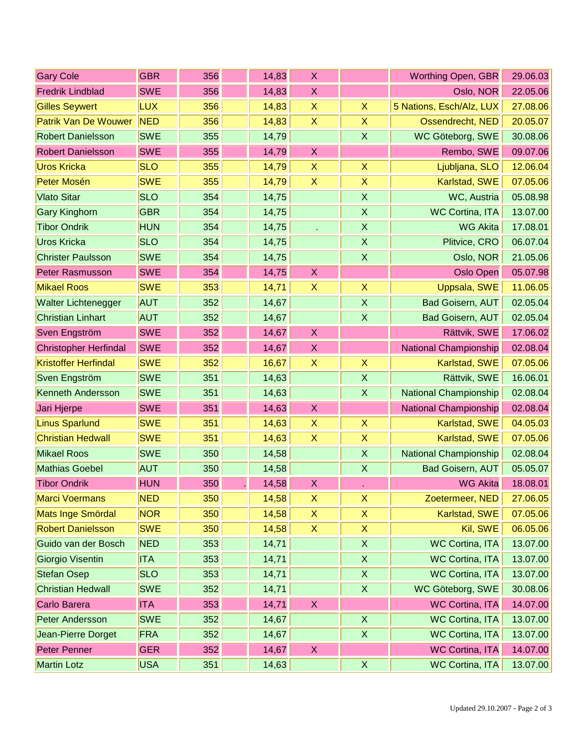| <b>Gary Cole</b>             | <b>GBR</b> | 356 | 14,83 | X                         |                           | Worthing Open, GBR           | 29.06.03 |
|------------------------------|------------|-----|-------|---------------------------|---------------------------|------------------------------|----------|
| <b>Fredrik Lindblad</b>      | <b>SWE</b> | 356 | 14,83 | X                         |                           | Oslo, NOR                    | 22.05.06 |
| <b>Gilles Seywert</b>        | <b>LUX</b> | 356 | 14,83 | $\pmb{\times}$            | $\boldsymbol{\mathsf{X}}$ | 5 Nations, Esch/Alz, LUX     | 27.08.06 |
| <b>Patrik Van De Wouwer</b>  | <b>NED</b> | 356 | 14,83 | $\boldsymbol{\mathsf{X}}$ | $\boldsymbol{\mathsf{X}}$ | Ossendrecht, NED             | 20.05.07 |
| <b>Robert Danielsson</b>     | <b>SWE</b> | 355 | 14,79 |                           | $\boldsymbol{X}$          | WC Göteborg, SWE             | 30.08.06 |
| <b>Robert Danielsson</b>     | <b>SWE</b> | 355 | 14,79 | $\boldsymbol{X}$          |                           | Rembo, SWE                   | 09.07.06 |
| <b>Uros Kricka</b>           | <b>SLO</b> | 355 | 14,79 | $\boldsymbol{X}$          | $\boldsymbol{X}$          | Ljubljana, SLO               | 12.06.04 |
| Peter Mosén                  | <b>SWE</b> | 355 | 14,79 | $\boldsymbol{\mathsf{X}}$ | $\boldsymbol{\mathsf{X}}$ | Karlstad, SWE                | 07.05.06 |
| <b>Vlato Sitar</b>           | <b>SLO</b> | 354 | 14,75 |                           | $\boldsymbol{\mathsf{X}}$ | WC, Austria                  | 05.08.98 |
| <b>Gary Kinghorn</b>         | <b>GBR</b> | 354 | 14,75 |                           | $\pmb{\times}$            | <b>WC Cortina, ITA</b>       | 13.07.00 |
| <b>Tibor Ondrik</b>          | <b>HUN</b> | 354 | 14,75 |                           | $\boldsymbol{\mathsf{X}}$ | <b>WG Akita</b>              | 17.08.01 |
| <b>Uros Kricka</b>           | <b>SLO</b> | 354 | 14,75 |                           | $\boldsymbol{X}$          | Plitvice, CRO                | 06.07.04 |
| <b>Christer Paulsson</b>     | <b>SWE</b> | 354 | 14,75 |                           | $\boldsymbol{\mathsf{X}}$ | Oslo, NOR                    | 21.05.06 |
| <b>Peter Rasmusson</b>       | <b>SWE</b> | 354 | 14,75 | $\boldsymbol{X}$          |                           | <b>Oslo Open</b>             | 05.07.98 |
| <b>Mikael Roos</b>           | <b>SWE</b> | 353 | 14,71 | $\boldsymbol{X}$          | $\boldsymbol{\mathsf{X}}$ | Uppsala, SWE                 | 11.06.05 |
| <b>Walter Lichtenegger</b>   | <b>AUT</b> | 352 | 14,67 |                           | $\pmb{\times}$            | <b>Bad Goisern, AUT</b>      | 02.05.04 |
| <b>Christian Linhart</b>     | <b>AUT</b> | 352 | 14,67 |                           | $\mathsf X$               | <b>Bad Goisern, AUT</b>      | 02.05.04 |
| Sven Engström                | <b>SWE</b> | 352 | 14,67 | $\boldsymbol{X}$          |                           | Rättvik, SWE                 | 17.06.02 |
| <b>Christopher Herfindal</b> | <b>SWE</b> | 352 | 14,67 | X                         |                           | National Championship        | 02.08.04 |
| <b>Kristoffer Herfindal</b>  | <b>SWE</b> | 352 | 16,67 | $\boldsymbol{\mathsf{X}}$ | $\boldsymbol{\mathsf{X}}$ | Karlstad, SWE                | 07.05.06 |
| Sven Engström                | <b>SWE</b> | 351 | 14,63 |                           | $\boldsymbol{\mathsf{X}}$ | Rättvik, SWE                 | 16.06.01 |
| <b>Kenneth Andersson</b>     | <b>SWE</b> | 351 | 14,63 |                           | $\boldsymbol{\mathsf{X}}$ | <b>National Championship</b> | 02.08.04 |
| Jari Hjerpe                  | <b>SWE</b> | 351 | 14,63 | $\boldsymbol{\mathsf{X}}$ |                           | National Championship        | 02.08.04 |
| <b>Linus Sparlund</b>        | <b>SWE</b> | 351 | 14,63 | $\boldsymbol{\mathsf{X}}$ | $\boldsymbol{\mathsf{X}}$ | Karlstad, SWE                | 04.05.03 |
| <b>Christian Hedwall</b>     | <b>SWE</b> | 351 | 14,63 | $\boldsymbol{\mathsf{X}}$ | $\pmb{\times}$            | Karlstad, SWE                | 07.05.06 |
| <b>Mikael Roos</b>           | <b>SWE</b> | 350 | 14,58 |                           | $\pmb{\times}$            | <b>National Championship</b> | 02.08.04 |
| <b>Mathias Goebel</b>        | <b>AUT</b> | 350 | 14,58 |                           | $\pmb{\times}$            | <b>Bad Goisern, AUT</b>      | 05.05.07 |
| <b>Tibor Ondrik</b>          | <b>HUN</b> | 350 | 14,58 | $\boldsymbol{X}$          |                           | <b>WG Akita</b>              | 18.08.01 |
| <b>Marci Voermans</b>        | <b>NED</b> | 350 | 14,58 | X                         | X                         | Zoetermeer, NED              | 27.06.05 |
| Mats Inge Smördal            | <b>NOR</b> | 350 | 14,58 | $\mathsf X$               | $\mathsf X$               | Karlstad, SWE                | 07.05.06 |
| <b>Robert Danielsson</b>     | <b>SWE</b> | 350 | 14,58 | X                         | $\boldsymbol{\mathsf{X}}$ | Kil, SWE                     | 06.05.06 |
| Guido van der Bosch          | <b>NED</b> | 353 | 14,71 |                           | $\boldsymbol{\mathsf{X}}$ | <b>WC Cortina, ITA</b>       | 13.07.00 |
| Giorgio Visentin             | <b>ITA</b> | 353 | 14,71 |                           | $\mathsf X$               | <b>WC Cortina, ITA</b>       | 13.07.00 |
| <b>Stefan Osep</b>           | <b>SLO</b> | 353 | 14,71 |                           | $\mathsf{X}$              | <b>WC Cortina, ITA</b>       | 13.07.00 |
| <b>Christian Hedwall</b>     | <b>SWE</b> | 352 | 14,71 |                           | $\boldsymbol{\mathsf{X}}$ | WC Göteborg, SWE             | 30.08.06 |
| Carlo Barera                 | <b>ITA</b> | 353 | 14,71 | X                         |                           | <b>WC Cortina, ITA</b>       | 14.07.00 |
| <b>Peter Andersson</b>       | <b>SWE</b> | 352 | 14,67 |                           | $\mathsf{X}$              | <b>WC Cortina, ITA</b>       | 13.07.00 |
| Jean-Pierre Dorget           | <b>FRA</b> | 352 | 14,67 |                           | $\boldsymbol{\mathsf{X}}$ | <b>WC Cortina, ITA</b>       | 13.07.00 |
| <b>Peter Penner</b>          | <b>GER</b> | 352 | 14,67 | $\boldsymbol{\mathsf{X}}$ |                           | <b>WC Cortina, ITA</b>       | 14.07.00 |
| <b>Martin Lotz</b>           | <b>USA</b> | 351 | 14,63 |                           | $\boldsymbol{\mathsf{X}}$ | <b>WC Cortina, ITA</b>       | 13.07.00 |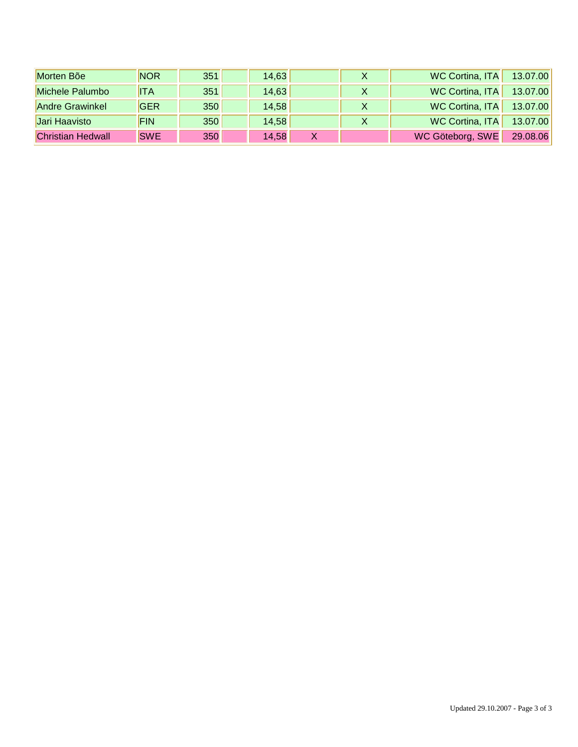| Morten Bõe               | <b>NOR</b> | 351 | 14,63 |  | WC Cortina, ITA        | 13.07.00 |
|--------------------------|------------|-----|-------|--|------------------------|----------|
| Michele Palumbo          | <b>ITA</b> | 351 | 14,63 |  | <b>WC Cortina, ITA</b> | 13.07.00 |
| <b>Andre Grawinkel</b>   | <b>GER</b> | 350 | 14,58 |  | WC Cortina, ITA        | 13.07.00 |
| Jari Haavisto            | <b>FIN</b> | 350 | 14,58 |  | WC Cortina, ITA        | 13.07.00 |
| <b>Christian Hedwall</b> | <b>SWE</b> | 350 | 14,58 |  | WC Göteborg, SWE       | 29.08.06 |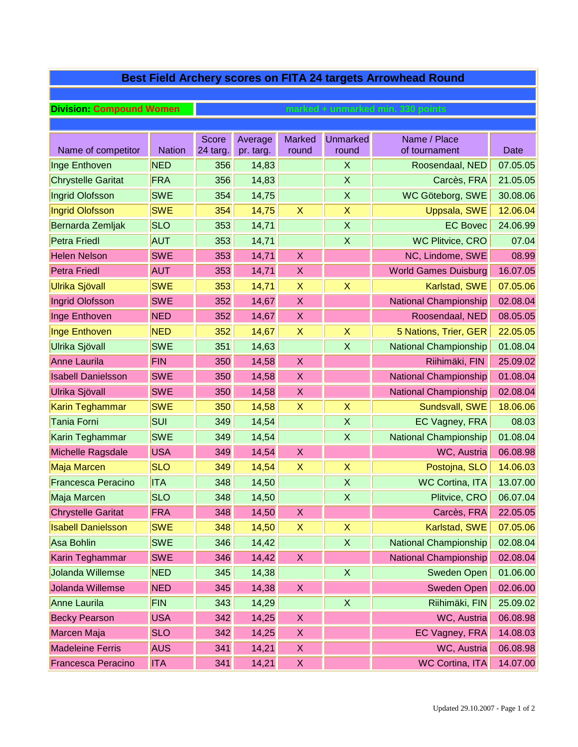| Best Field Archery scores on FITA 24 targets Arrowhead Round |               |                                   |           |                           |                    |                              |             |  |  |  |  |
|--------------------------------------------------------------|---------------|-----------------------------------|-----------|---------------------------|--------------------|------------------------------|-------------|--|--|--|--|
|                                                              |               |                                   |           |                           |                    |                              |             |  |  |  |  |
| <b>Division: Compound Women</b>                              |               | marked + unmarked min. 330 points |           |                           |                    |                              |             |  |  |  |  |
|                                                              |               |                                   |           |                           |                    |                              |             |  |  |  |  |
|                                                              |               | <b>Score</b>                      | Average   | <b>Marked</b>             | <b>Unmarked</b>    | Name / Place                 |             |  |  |  |  |
| Name of competitor                                           | <b>Nation</b> | 24 targ.                          | pr. targ. | round                     | round              | of tournament                | <b>Date</b> |  |  |  |  |
| Inge Enthoven                                                | <b>NED</b>    | 356                               | 14,83     |                           | X                  | Roosendaal, NED              | 07.05.05    |  |  |  |  |
| <b>Chrystelle Garitat</b>                                    | FRA           | 356                               | 14,83     |                           | X                  | Carcès, FRA                  | 21.05.05    |  |  |  |  |
| Ingrid Olofsson                                              | <b>SWE</b>    | 354                               | 14,75     |                           | X                  | WC Göteborg, SWE             | 30.08.06    |  |  |  |  |
| <b>Ingrid Olofsson</b>                                       | <b>SWE</b>    | 354                               | 14,75     | $\boldsymbol{\mathsf{X}}$ | X                  | Uppsala, SWE                 | 12.06.04    |  |  |  |  |
| Bernarda Zemljak                                             | <b>SLO</b>    | 353                               | 14,71     |                           | $\sf X$            | <b>EC Bovec</b>              | 24.06.99    |  |  |  |  |
| <b>Petra Friedl</b>                                          | <b>AUT</b>    | 353                               | 14,71     |                           | X                  | <b>WC Plitvice, CRO</b>      | 07.04       |  |  |  |  |
| <b>Helen Nelson</b>                                          | <b>SWE</b>    | 353                               | 14,71     | $\mathsf{X}$              |                    | NC, Lindome, SWE             | 08.99       |  |  |  |  |
| <b>Petra Friedl</b>                                          | <b>AUT</b>    | 353                               | 14,71     | X                         |                    | <b>World Games Duisburg</b>  | 16.07.05    |  |  |  |  |
| Ulrika Sjövall                                               | <b>SWE</b>    | 353                               | 14,71     | X                         | X                  | Karlstad, SWE                | 07.05.06    |  |  |  |  |
| Ingrid Olofsson                                              | <b>SWE</b>    | 352                               | 14,67     | $\mathsf{X}$              |                    | <b>National Championship</b> | 02.08.04    |  |  |  |  |
| Inge Enthoven                                                | <b>NED</b>    | 352                               | 14,67     | X                         |                    | Roosendaal, NED              | 08.05.05    |  |  |  |  |
| <b>Inge Enthoven</b>                                         | <b>NED</b>    | 352                               | 14,67     | X                         | X                  | 5 Nations, Trier, GER        | 22.05.05    |  |  |  |  |
| Ulrika Sjövall                                               | <b>SWE</b>    | 351                               | 14,63     |                           | $\sf X$            | <b>National Championship</b> | 01.08.04    |  |  |  |  |
| <b>Anne Laurila</b>                                          | <b>FIN</b>    | 350                               | 14,58     | $\mathsf{X}$              |                    | Riihimäki, FIN               | 25.09.02    |  |  |  |  |
| <b>Isabell Danielsson</b>                                    | <b>SWE</b>    | 350                               | 14,58     | X                         |                    | <b>National Championship</b> | 01.08.04    |  |  |  |  |
| Ulrika Sjövall                                               | <b>SWE</b>    | 350                               | 14,58     | X                         |                    | <b>National Championship</b> | 02.08.04    |  |  |  |  |
| Karin Teghammar                                              | <b>SWE</b>    | 350                               | 14,58     | $\sf X$                   | X                  | Sundsvall, SWE               | 18.06.06    |  |  |  |  |
| <b>Tania Forni</b>                                           | <b>SUI</b>    | 349                               | 14,54     |                           | X                  | EC Vagney, FRA               | 08.03       |  |  |  |  |
| Karin Teghammar                                              | <b>SWE</b>    | 349                               | 14,54     |                           | X                  | <b>National Championship</b> | 01.08.04    |  |  |  |  |
| Michelle Ragsdale                                            | <b>USA</b>    | 349                               | 14,54     | $\mathsf{X}$              |                    | WC, Austria                  | 06.08.98    |  |  |  |  |
| Maja Marcen                                                  | <b>SLO</b>    | 349                               | 14,54     | $\sf X$                   | X                  | Postojna, SLO                | 14.06.03    |  |  |  |  |
| <b>Francesca Peracino</b>                                    | <b>ITA</b>    | 348                               | 14,50     |                           | $\mathsf{X}$       | <b>WC Cortina, ITA</b>       | 13.07.00    |  |  |  |  |
| Maja Marcen                                                  | <b>SLO</b>    | 348                               | 14,50     |                           | X                  | Plitvice, CRO                | 06.07.04    |  |  |  |  |
| <b>Chrystelle Garitat</b>                                    | <b>FRA</b>    | 348                               | 14,50     | X                         |                    | Carcès, FRA                  | 22.05.05    |  |  |  |  |
| <b>Isabell Danielsson</b>                                    | <b>SWE</b>    | 348                               | 14,50     | $\mathsf{X}$              | X                  | Karlstad, SWE                | 07.05.06    |  |  |  |  |
| <b>Asa Bohlin</b>                                            | <b>SWE</b>    | 346                               | 14,42     |                           | $\pmb{\mathsf{X}}$ | <b>National Championship</b> | 02.08.04    |  |  |  |  |
| Karin Teghammar                                              | <b>SWE</b>    | 346                               | 14,42     | $\pmb{\mathsf{X}}$        |                    | National Championship        | 02.08.04    |  |  |  |  |
| Jolanda Willemse                                             | <b>NED</b>    | 345                               | 14,38     |                           | X                  | <b>Sweden Open</b>           | 01.06.00    |  |  |  |  |
| Jolanda Willemse                                             | <b>NED</b>    | 345                               | 14,38     | $\mathsf X$               |                    | <b>Sweden Open</b>           | 02.06.00    |  |  |  |  |
| Anne Laurila                                                 | <b>FIN</b>    | 343                               | 14,29     |                           | X                  | Riihimäki, FIN               | 25.09.02    |  |  |  |  |
| <b>Becky Pearson</b>                                         | <b>USA</b>    | 342                               | 14,25     | X                         |                    | WC, Austria                  | 06.08.98    |  |  |  |  |
| Marcen Maja                                                  | <b>SLO</b>    | 342                               | 14,25     | X                         |                    | EC Vagney, FRA               | 14.08.03    |  |  |  |  |
| <b>Madeleine Ferris</b>                                      | <b>AUS</b>    | 341                               | 14,21     | X                         |                    | WC, Austria                  | 06.08.98    |  |  |  |  |
| <b>Francesca Peracino</b>                                    | <b>ITA</b>    | 341                               | 14,21     | X                         |                    | <b>WC Cortina, ITA</b>       | 14.07.00    |  |  |  |  |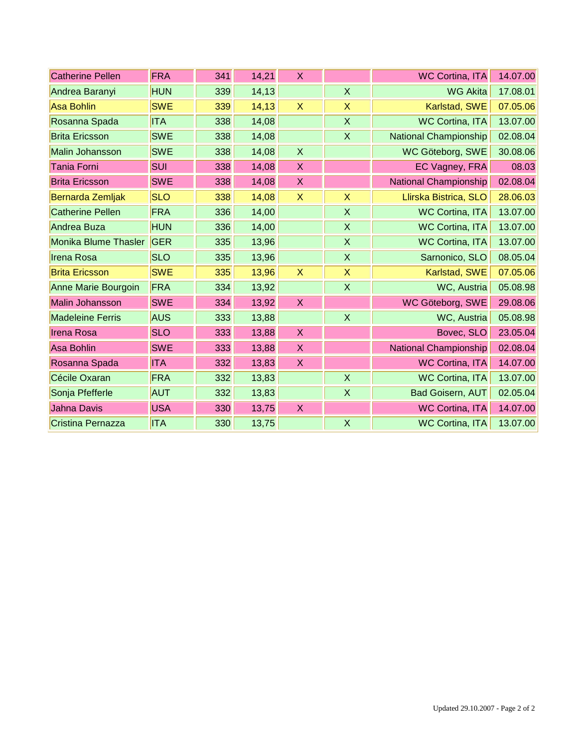| <b>Catherine Pellen</b> | <b>FRA</b> | 341 | 14,21  | X                         |                           | <b>WC Cortina, ITA</b>       | 14.07.00 |
|-------------------------|------------|-----|--------|---------------------------|---------------------------|------------------------------|----------|
| Andrea Baranyi          | <b>HUN</b> | 339 | 14,13  |                           | $\mathsf{X}$              | <b>WG Akita</b>              | 17.08.01 |
| <b>Asa Bohlin</b>       | <b>SWE</b> | 339 | 14, 13 | $\boldsymbol{X}$          | $\boldsymbol{\mathsf{X}}$ | Karlstad, SWE                | 07.05.06 |
| Rosanna Spada           | <b>ITA</b> | 338 | 14,08  |                           | $\mathsf X$               | <b>WC Cortina, ITA</b>       | 13.07.00 |
| <b>Brita Ericsson</b>   | <b>SWE</b> | 338 | 14,08  |                           | $\mathsf{X}$              | <b>National Championship</b> | 02.08.04 |
| Malin Johansson         | <b>SWE</b> | 338 | 14,08  | $\mathsf{X}$              |                           | WC Göteborg, SWE             | 30.08.06 |
| <b>Tania Forni</b>      | <b>SUI</b> | 338 | 14,08  | $\boldsymbol{X}$          |                           | EC Vagney, FRA               | 08.03    |
| <b>Brita Ericsson</b>   | <b>SWE</b> | 338 | 14,08  | $\boldsymbol{X}$          |                           | National Championship        | 02.08.04 |
| Bernarda Zemljak        | <b>SLO</b> | 338 | 14,08  | $\boldsymbol{\mathsf{X}}$ | $\boldsymbol{\mathsf{X}}$ | Llirska Bistrica, SLO        | 28.06.03 |
| <b>Catherine Pellen</b> | FRA        | 336 | 14,00  |                           | X                         | <b>WC Cortina, ITA</b>       | 13.07.00 |
| Andrea Buza             | <b>HUN</b> | 336 | 14,00  |                           | X                         | <b>WC Cortina, ITA</b>       | 13.07.00 |
| Monika Blume Thasler    | <b>GER</b> | 335 | 13,96  |                           | X                         | <b>WC Cortina, ITA</b>       | 13.07.00 |
| <b>Irena Rosa</b>       | <b>SLO</b> | 335 | 13,96  |                           | $\mathsf{X}$              | Sarnonico, SLO               | 08.05.04 |
| <b>Brita Ericsson</b>   | <b>SWE</b> | 335 | 13,96  | $\boldsymbol{\mathsf{X}}$ | $\boldsymbol{\mathsf{X}}$ | Karlstad, SWE                | 07.05.06 |
| Anne Marie Bourgoin     | FRA        | 334 | 13,92  |                           | $\mathsf{X}$              | WC, Austria                  | 05.08.98 |
| <b>Malin Johansson</b>  | <b>SWE</b> | 334 | 13,92  | X                         |                           | WC Göteborg, SWE             | 29.08.06 |
| <b>Madeleine Ferris</b> | AUS        | 333 | 13,88  |                           | $\boldsymbol{\mathsf{X}}$ | WC, Austria                  | 05.08.98 |
| <b>Irena Rosa</b>       | <b>SLO</b> | 333 | 13,88  | $\boldsymbol{X}$          |                           | Bovec, SLO                   | 23.05.04 |
| <b>Asa Bohlin</b>       | <b>SWE</b> | 333 | 13,88  | $\boldsymbol{\mathsf{X}}$ |                           | <b>National Championship</b> | 02.08.04 |
| Rosanna Spada           | <b>ITA</b> | 332 | 13,83  | X                         |                           | <b>WC Cortina, ITA</b>       | 14.07.00 |
| Cécile Oxaran           | FRA        | 332 | 13,83  |                           | X                         | <b>WC Cortina, ITA</b>       | 13.07.00 |
| Sonja Pfefferle         | <b>AUT</b> | 332 | 13,83  |                           | $\boldsymbol{\mathsf{X}}$ | <b>Bad Goisern, AUT</b>      | 02.05.04 |
| <b>Jahna Davis</b>      | <b>USA</b> | 330 | 13,75  | X                         |                           | <b>WC Cortina, ITA</b>       | 14.07.00 |
| Cristina Pernazza       | <b>ITA</b> | 330 | 13,75  |                           | $\mathsf{X}$              | <b>WC Cortina, ITA</b>       | 13.07.00 |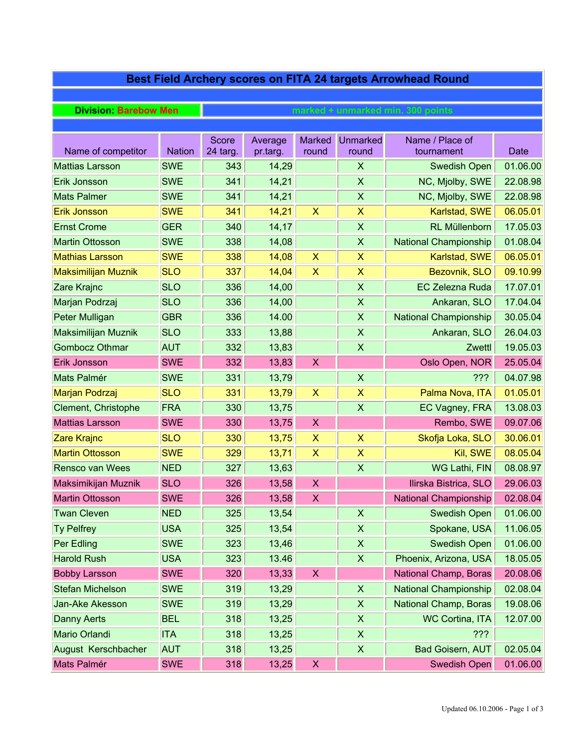| Best Field Archery scores on FITA 24 targets Arrowhead Round |               |                                   |                     |                           |                           |                               |             |  |  |  |  |
|--------------------------------------------------------------|---------------|-----------------------------------|---------------------|---------------------------|---------------------------|-------------------------------|-------------|--|--|--|--|
|                                                              |               |                                   |                     |                           |                           |                               |             |  |  |  |  |
| <b>Division: Barebow Men</b>                                 |               | marked + unmarked min. 300 points |                     |                           |                           |                               |             |  |  |  |  |
|                                                              |               |                                   |                     |                           |                           |                               |             |  |  |  |  |
| Name of competitor                                           | <b>Nation</b> | Score<br>24 targ.                 | Average<br>pr.targ. | <b>Marked</b><br>round    | <b>Unmarked</b><br>round  | Name / Place of<br>tournament | <b>Date</b> |  |  |  |  |
| <b>Mattias Larsson</b>                                       | <b>SWE</b>    | 343                               | 14,29               |                           | $\boldsymbol{\mathsf{X}}$ | <b>Swedish Open</b>           | 01.06.00    |  |  |  |  |
| Erik Jonsson                                                 | <b>SWE</b>    | 341                               | 14,21               |                           | $\boldsymbol{\mathsf{X}}$ | NC, Mjolby, SWE               | 22.08.98    |  |  |  |  |
| <b>Mats Palmer</b>                                           | <b>SWE</b>    | 341                               | 14,21               |                           | $\boldsymbol{\mathsf{X}}$ | NC, Mjolby, SWE               | 22.08.98    |  |  |  |  |
| <b>Erik Jonsson</b>                                          | <b>SWE</b>    | 341                               | 14,21               | $\boldsymbol{\mathsf{X}}$ | $\mathsf{X}$              | Karlstad, SWE                 | 06.05.01    |  |  |  |  |
| <b>Ernst Crome</b>                                           | <b>GER</b>    | 340                               | 14,17               |                           | $\boldsymbol{\mathsf{X}}$ | <b>RL Müllenborn</b>          | 17.05.03    |  |  |  |  |
| <b>Martin Ottosson</b>                                       | <b>SWE</b>    | 338                               | 14,08               |                           | $\boldsymbol{\mathsf{X}}$ | <b>National Championship</b>  | 01.08.04    |  |  |  |  |
| <b>Mathias Larsson</b>                                       | <b>SWE</b>    | 338                               | 14,08               | $\pmb{\mathsf{X}}$        | X                         | Karlstad, SWE                 | 06.05.01    |  |  |  |  |
| <b>Maksimilijan Muznik</b>                                   | <b>SLO</b>    | 337                               | 14,04               | X                         | $\boldsymbol{\mathsf{X}}$ | Bezovnik, SLO                 | 09.10.99    |  |  |  |  |
| Zare Krajnc                                                  | <b>SLO</b>    | 336                               | 14,00               |                           | $\boldsymbol{\mathsf{X}}$ | <b>EC Zelezna Ruda</b>        | 17.07.01    |  |  |  |  |
| Marjan Podrzaj                                               | <b>SLO</b>    | 336                               | 14,00               |                           | $\mathsf{X}$              | Ankaran, SLO                  | 17.04.04    |  |  |  |  |
| Peter Mulligan                                               | <b>GBR</b>    | 336                               | 14.00               |                           | $\boldsymbol{\mathsf{X}}$ | <b>National Championship</b>  | 30.05.04    |  |  |  |  |
| <b>Maksimilijan Muznik</b>                                   | <b>SLO</b>    | 333                               | 13,88               |                           | $\boldsymbol{\mathsf{X}}$ | Ankaran, SLO                  | 26.04.03    |  |  |  |  |
| <b>Gombocz Othmar</b>                                        | <b>AUT</b>    | 332                               | 13,83               |                           | $\boldsymbol{\mathsf{X}}$ | Zwettl                        | 19.05.03    |  |  |  |  |
| Erik Jonsson                                                 | <b>SWE</b>    | 332                               | 13,83               | X                         |                           | Oslo Open, NOR                | 25.05.04    |  |  |  |  |
| Mats Palmér                                                  | <b>SWE</b>    | 331                               | 13,79               |                           | $\boldsymbol{\mathsf{X}}$ | 222                           | 04.07.98    |  |  |  |  |
| Marjan Podrzaj                                               | <b>SLO</b>    | 331                               | 13,79               | $\pmb{\mathsf{X}}$        | $\boldsymbol{\mathsf{X}}$ | Palma Nova, ITA               | 01.05.01    |  |  |  |  |
| Clement, Christophe                                          | FRA           | 330                               | 13,75               |                           | $\boldsymbol{\mathsf{X}}$ | EC Vagney, FRA                | 13.08.03    |  |  |  |  |
| <b>Mattias Larsson</b>                                       | <b>SWE</b>    | 330                               | 13,75               | X                         |                           | Rembo, SWE                    | 09.07.06    |  |  |  |  |
| Zare Krajnc                                                  | <b>SLO</b>    | 330                               | 13,75               | X                         | $\boldsymbol{\mathsf{X}}$ | Skofja Loka, SLO              | 30.06.01    |  |  |  |  |
| <b>Martin Ottosson</b>                                       | <b>SWE</b>    | 329                               | 13,71               | X                         | $\boldsymbol{\mathsf{X}}$ | Kil, SWE                      | 08.05.04    |  |  |  |  |
| <b>Rensco van Wees</b>                                       | <b>NED</b>    | 327                               | 13,63               |                           | $\boldsymbol{\mathsf{X}}$ | WG Lathi, FIN                 | 08.08.97    |  |  |  |  |
| Maksimikijan Muznik                                          | <b>SLO</b>    | 326                               | 13,58               | $\boldsymbol{\mathsf{X}}$ |                           | Ilirska Bistrica, SLO         | 29.06.03    |  |  |  |  |
| <b>Martin Ottosson</b>                                       | <b>SWE</b>    | 326                               | 13,58               | X                         |                           | National Championship         | 02.08.04    |  |  |  |  |
| <b>Twan Cleven</b>                                           | <b>NED</b>    | 325                               | 13,54               |                           | $\pmb{\times}$            | <b>Swedish Open</b>           | 01.06.00    |  |  |  |  |
| <b>Ty Pelfrey</b>                                            | <b>USA</b>    | 325                               | 13,54               |                           | $\mathsf X$               | Spokane, USA                  | 11.06.05    |  |  |  |  |
| Per Edling                                                   | <b>SWE</b>    | 323                               | 13,46               |                           | $\pmb{\times}$            | <b>Swedish Open</b>           | 01.06.00    |  |  |  |  |
| <b>Harold Rush</b>                                           | <b>USA</b>    | 323                               | 13.46               |                           | $\mathsf X$               | Phoenix, Arizona, USA         | 18.05.05    |  |  |  |  |
| <b>Bobby Larsson</b>                                         | <b>SWE</b>    | 320                               | 13,33               | $\boldsymbol{\mathsf{X}}$ |                           | National Champ, Boras         | 20.08.06    |  |  |  |  |
| <b>Stefan Michelson</b>                                      | <b>SWE</b>    | 319                               | 13,29               |                           | $\boldsymbol{\mathsf{X}}$ | National Championship         | 02.08.04    |  |  |  |  |
| Jan-Ake Akesson                                              | <b>SWE</b>    | 319                               | 13,29               |                           | $\pmb{\times}$            | National Champ, Boras         | 19.08.06    |  |  |  |  |
| <b>Danny Aerts</b>                                           | <b>BEL</b>    | 318                               | 13,25               |                           | $\pmb{\times}$            | <b>WC Cortina, ITA</b>        | 12.07.00    |  |  |  |  |
| Mario Orlandi                                                | <b>ITA</b>    | 318                               | 13,25               |                           | $\boldsymbol{\mathsf{X}}$ | 222                           |             |  |  |  |  |
| August Kerschbacher                                          | <b>AUT</b>    | 318                               | 13,25               |                           | $\mathsf X$               | <b>Bad Goisern, AUT</b>       | 02.05.04    |  |  |  |  |
| Mats Palmér                                                  | <b>SWE</b>    | 318                               | 13,25               | X                         |                           | <b>Swedish Open</b>           | 01.06.00    |  |  |  |  |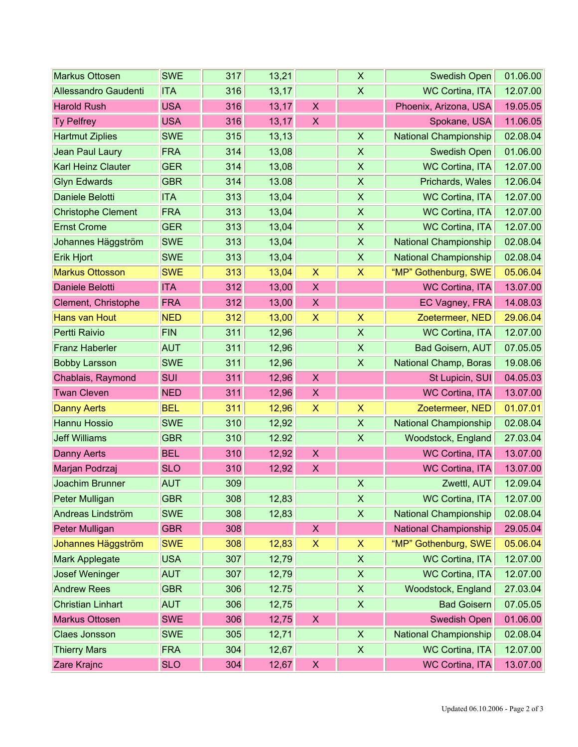| <b>Markus Ottosen</b>       | <b>SWE</b> | 317 | 13,21  |                           | X                         | <b>Swedish Open</b>          | 01.06.00 |
|-----------------------------|------------|-----|--------|---------------------------|---------------------------|------------------------------|----------|
| <b>Allessandro Gaudenti</b> | <b>ITA</b> | 316 | 13,17  |                           | $\sf X$                   | <b>WC Cortina, ITA</b>       | 12.07.00 |
| <b>Harold Rush</b>          | <b>USA</b> | 316 | 13,17  | $\pmb{\mathsf{X}}$        |                           | Phoenix, Arizona, USA        | 19.05.05 |
| <b>Ty Pelfrey</b>           | <b>USA</b> | 316 | 13,17  | X                         |                           | Spokane, USA                 | 11.06.05 |
| <b>Hartmut Ziplies</b>      | <b>SWE</b> | 315 | 13, 13 |                           | $\boldsymbol{\mathsf{X}}$ | <b>National Championship</b> | 02.08.04 |
| Jean Paul Laury             | FRA        | 314 | 13,08  |                           | $\mathsf{X}$              | Swedish Open                 | 01.06.00 |
| <b>Karl Heinz Clauter</b>   | <b>GER</b> | 314 | 13,08  |                           | $\mathsf{X}$              | <b>WC Cortina, ITA</b>       | 12.07.00 |
| <b>Glyn Edwards</b>         | <b>GBR</b> | 314 | 13.08  |                           | $\boldsymbol{\mathsf{X}}$ | Prichards, Wales             | 12.06.04 |
| Daniele Belotti             | <b>ITA</b> | 313 | 13,04  |                           | $\pmb{\mathsf{X}}$        | <b>WC Cortina, ITA</b>       | 12.07.00 |
| <b>Christophe Clement</b>   | FRA        | 313 | 13,04  |                           | $\mathsf{X}$              | <b>WC Cortina, ITA</b>       | 12.07.00 |
| <b>Ernst Crome</b>          | <b>GER</b> | 313 | 13,04  |                           | $\sf X$                   | <b>WC Cortina, ITA</b>       | 12.07.00 |
| Johannes Häggström          | <b>SWE</b> | 313 | 13,04  |                           | $\mathsf{X}$              | <b>National Championship</b> | 02.08.04 |
| Erik Hjort                  | <b>SWE</b> | 313 | 13,04  |                           | X                         | <b>National Championship</b> | 02.08.04 |
| <b>Markus Ottosson</b>      | <b>SWE</b> | 313 | 13,04  | $\boldsymbol{\mathsf{X}}$ | $\boldsymbol{\mathsf{X}}$ | "MP" Gothenburg, SWE         | 05.06.04 |
| Daniele Belotti             | <b>ITA</b> | 312 | 13,00  | $\pmb{\times}$            |                           | <b>WC Cortina, ITA</b>       | 13.07.00 |
| Clement, Christophe         | <b>FRA</b> | 312 | 13,00  | X                         |                           | EC Vagney, FRA               | 14.08.03 |
| Hans van Hout               | <b>NED</b> | 312 | 13,00  | $\boldsymbol{\mathsf{X}}$ | $\boldsymbol{\mathsf{X}}$ | Zoetermeer, NED              | 29.06.04 |
| Pertti Raivio               | <b>FIN</b> | 311 | 12,96  |                           | $\pmb{\mathsf{X}}$        | <b>WC Cortina, ITA</b>       | 12.07.00 |
| <b>Franz Haberler</b>       | <b>AUT</b> | 311 | 12,96  |                           | X                         | <b>Bad Goisern, AUT</b>      | 07.05.05 |
| <b>Bobby Larsson</b>        | <b>SWE</b> | 311 | 12,96  |                           | $\boldsymbol{\mathsf{X}}$ | <b>National Champ, Boras</b> | 19.08.06 |
| Chablais, Raymond           | SUI        | 311 | 12,96  | $\pmb{\mathsf{X}}$        |                           | St Lupicin, SUI              | 04.05.03 |
| <b>Twan Cleven</b>          | <b>NED</b> | 311 | 12,96  | X                         |                           | <b>WC Cortina, ITA</b>       | 13.07.00 |
| <b>Danny Aerts</b>          | <b>BEL</b> | 311 | 12,96  | $\boldsymbol{\mathsf{X}}$ | $\boldsymbol{\mathsf{X}}$ | Zoetermeer, NED              | 01.07.01 |
| Hannu Hossio                | <b>SWE</b> | 310 | 12,92  |                           | $\mathsf{X}$              | <b>National Championship</b> | 02.08.04 |
| <b>Jeff Williams</b>        | <b>GBR</b> | 310 | 12.92  |                           | X                         | Woodstock, England           | 27.03.04 |
| <b>Danny Aerts</b>          | <b>BEL</b> | 310 | 12,92  | $\boldsymbol{X}$          |                           | <b>WC Cortina, ITA</b>       | 13.07.00 |
| Marjan Podrzaj              | <b>SLO</b> | 310 | 12,92  | X                         |                           | <b>WC Cortina, ITA</b>       | 13.07.00 |
| Joachim Brunner             | <b>AUT</b> | 309 |        |                           | $\pmb{\times}$            | Zwettl, AUT                  | 12.09.04 |
| Peter Mulligan              | <b>GBR</b> | 308 | 12,83  |                           | X                         | <b>WC Cortina, ITA</b>       | 12.07.00 |
| Andreas Lindström           | <b>SWE</b> | 308 | 12,83  |                           | $\boldsymbol{\mathsf{X}}$ | <b>National Championship</b> | 02.08.04 |
| Peter Mulligan              | <b>GBR</b> | 308 |        | $\boldsymbol{\mathsf{X}}$ |                           | <b>National Championship</b> | 29.05.04 |
| Johannes Häggström          | <b>SWE</b> | 308 | 12,83  | $\boldsymbol{\mathsf{X}}$ | $\boldsymbol{\mathsf{X}}$ | "MP" Gothenburg, SWE         | 05.06.04 |
| Mark Applegate              | <b>USA</b> | 307 | 12,79  |                           | $\boldsymbol{\mathsf{X}}$ | WC Cortina, ITA              | 12.07.00 |
| <b>Josef Weninger</b>       | <b>AUT</b> | 307 | 12,79  |                           | X                         | <b>WC Cortina, ITA</b>       | 12.07.00 |
| <b>Andrew Rees</b>          | <b>GBR</b> | 306 | 12.75  |                           | $\mathsf X$               | Woodstock, England           | 27.03.04 |
| <b>Christian Linhart</b>    | <b>AUT</b> | 306 | 12,75  |                           | $\boldsymbol{\mathsf{X}}$ | <b>Bad Goisern</b>           | 07.05.05 |
| <b>Markus Ottosen</b>       | <b>SWE</b> | 306 | 12,75  | X                         |                           | <b>Swedish Open</b>          | 01.06.00 |
| <b>Claes Jonsson</b>        | <b>SWE</b> | 305 | 12,71  |                           | $\boldsymbol{\mathsf{X}}$ | <b>National Championship</b> | 02.08.04 |
| <b>Thierry Mars</b>         | <b>FRA</b> | 304 | 12,67  |                           | $\boldsymbol{\mathsf{X}}$ | WC Cortina, ITA              | 12.07.00 |
| Zare Krajnc                 | <b>SLO</b> | 304 | 12,67  | $\pmb{\times}$            |                           | <b>WC Cortina, ITA</b>       | 13.07.00 |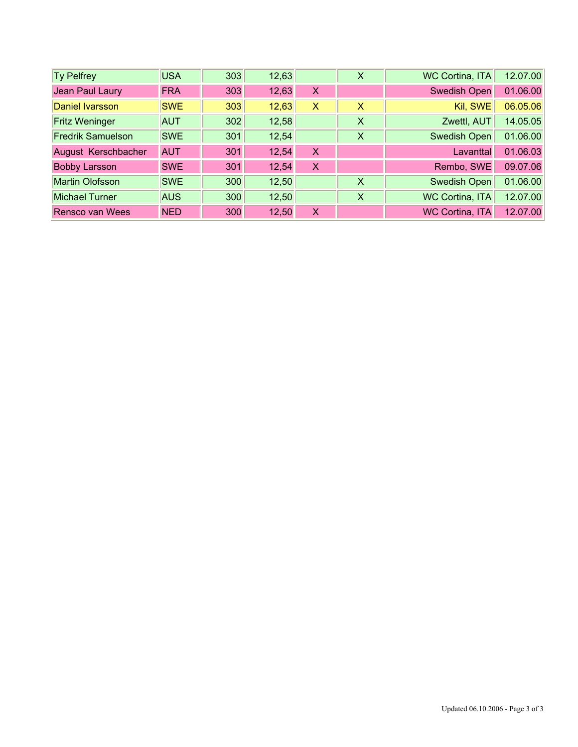| <b>Ty Pelfrey</b>        | <b>USA</b> | 303 | 12,63 |   | X | <b>WC Cortina, ITA</b> | 12.07.00 |
|--------------------------|------------|-----|-------|---|---|------------------------|----------|
| Jean Paul Laury          | <b>FRA</b> | 303 | 12,63 | X |   | Swedish Open           | 01.06.00 |
| Daniel Ivarsson          | <b>SWE</b> | 303 | 12,63 | X | X | Kil, SWE               | 06.05.06 |
| <b>Fritz Weninger</b>    | <b>AUT</b> | 302 | 12,58 |   | X | Zwettl, AUT            | 14.05.05 |
| <b>Fredrik Samuelson</b> | <b>SWE</b> | 301 | 12,54 |   | X | <b>Swedish Open</b>    | 01.06.00 |
| August Kerschbacher      | <b>AUT</b> | 301 | 12,54 | X |   | Lavanttal              | 01.06.03 |
| <b>Bobby Larsson</b>     | <b>SWE</b> | 301 | 12,54 | X |   | Rembo, SWE             | 09.07.06 |
| Martin Olofsson          | <b>SWE</b> | 300 | 12,50 |   | X | <b>Swedish Open</b>    | 01.06.00 |
| Michael Turner           | <b>AUS</b> | 300 | 12,50 |   | X | <b>WC Cortina, ITA</b> | 12.07.00 |
| Rensco van Wees          | <b>NED</b> | 300 | 12,50 | X |   | <b>WC Cortina, ITA</b> | 12.07.00 |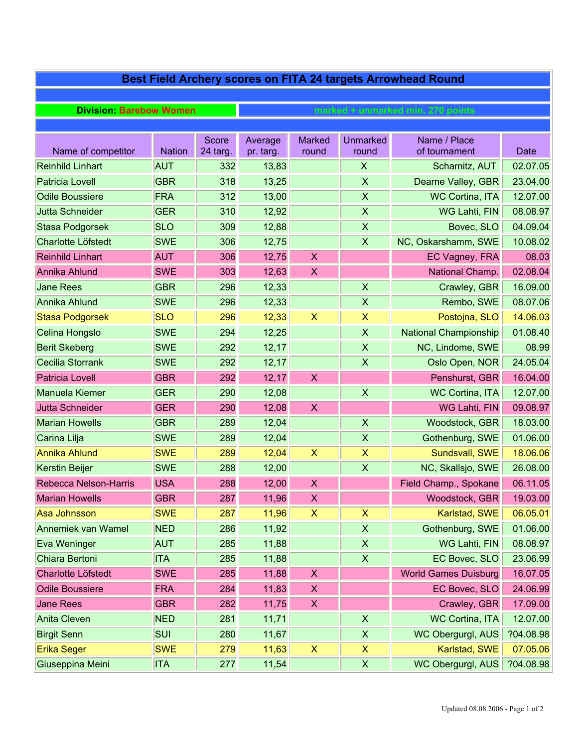| Best Field Archery scores on FITA 24 targets Arrowhead Round |               |                   |                                   |                           |                           |                               |           |  |  |  |
|--------------------------------------------------------------|---------------|-------------------|-----------------------------------|---------------------------|---------------------------|-------------------------------|-----------|--|--|--|
|                                                              |               |                   |                                   |                           |                           |                               |           |  |  |  |
| <b>Division: Barebow Women</b>                               |               |                   | marked + unmarked min. 270 points |                           |                           |                               |           |  |  |  |
|                                                              |               |                   |                                   |                           |                           |                               |           |  |  |  |
| Name of competitor                                           | <b>Nation</b> | Score<br>24 targ. | Average<br>pr. targ.              | <b>Marked</b><br>round    | <b>Unmarked</b><br>round  | Name / Place<br>of tournament | Date      |  |  |  |
| <b>Reinhild Linhart</b>                                      | <b>AUT</b>    | 332               | 13,83                             |                           | X                         | Scharnitz, AUT                | 02.07.05  |  |  |  |
| <b>Patricia Lovell</b>                                       | <b>GBR</b>    | 318               | 13,25                             |                           | $\boldsymbol{\mathsf{X}}$ | Dearne Valley, GBR            | 23.04.00  |  |  |  |
| <b>Odile Boussiere</b>                                       | FRA           | 312               | 13,00                             |                           | $\boldsymbol{\mathsf{X}}$ | <b>WC Cortina, ITA</b>        | 12.07.00  |  |  |  |
| <b>Jutta Schneider</b>                                       | <b>GER</b>    | 310               | 12,92                             |                           | $\boldsymbol{\mathsf{X}}$ | WG Lahti, FIN                 | 08.08.97  |  |  |  |
| <b>Stasa Podgorsek</b>                                       | <b>SLO</b>    | 309               | 12,88                             |                           | $\boldsymbol{\mathsf{X}}$ | Bovec, SLO                    | 04.09.04  |  |  |  |
| <b>Charlotte Löfstedt</b>                                    | <b>SWE</b>    | 306               | 12,75                             |                           | $\boldsymbol{\mathsf{X}}$ | NC, Oskarshamm, SWE           | 10.08.02  |  |  |  |
| <b>Reinhild Linhart</b>                                      | <b>AUT</b>    | 306               | 12,75                             | X                         |                           | EC Vagney, FRA                | 08.03     |  |  |  |
| <b>Annika Ahlund</b>                                         | <b>SWE</b>    | 303               | 12,63                             | $\boldsymbol{\mathsf{X}}$ |                           | National Champ.               | 02.08.04  |  |  |  |
| <b>Jane Rees</b>                                             | <b>GBR</b>    | 296               | 12,33                             |                           | $\boldsymbol{\mathsf{X}}$ | Crawley, GBR                  | 16.09.00  |  |  |  |
| Annika Ahlund                                                | <b>SWE</b>    | 296               | 12,33                             |                           | $\boldsymbol{\mathsf{X}}$ | Rembo, SWE                    | 08.07.06  |  |  |  |
| <b>Stasa Podgorsek</b>                                       | <b>SLO</b>    | 296               | 12,33                             | $\boldsymbol{\mathsf{X}}$ | $\pmb{\mathsf{X}}$        | Postojna, SLO                 | 14.06.03  |  |  |  |
| Celina Hongslo                                               | <b>SWE</b>    | 294               | 12,25                             |                           | $\boldsymbol{\mathsf{X}}$ | <b>National Championship</b>  | 01.08.40  |  |  |  |
| <b>Berit Skeberg</b>                                         | <b>SWE</b>    | 292               | 12,17                             |                           | $\boldsymbol{\mathsf{X}}$ | NC, Lindome, SWE              | 08.99     |  |  |  |
| Cecilia Storrank                                             | <b>SWE</b>    | 292               | 12,17                             |                           | $\boldsymbol{\mathsf{X}}$ | Oslo Open, NOR                | 24.05.04  |  |  |  |
| <b>Patricia Lovell</b>                                       | <b>GBR</b>    | 292               | 12,17                             | X                         |                           | Penshurst, GBR                | 16.04.00  |  |  |  |
| Manuela Kiemer                                               | <b>GER</b>    | 290               | 12,08                             |                           | $\boldsymbol{\mathsf{X}}$ | <b>WC Cortina, ITA</b>        | 12.07.00  |  |  |  |
| <b>Jutta Schneider</b>                                       | <b>GER</b>    | 290               | 12,08                             | $\boldsymbol{\mathsf{X}}$ |                           | WG Lahti, FIN                 | 09.08.97  |  |  |  |
| <b>Marian Howells</b>                                        | <b>GBR</b>    | 289               | 12,04                             |                           | $\mathsf{X}$              | Woodstock, GBR                | 18.03.00  |  |  |  |
| Carina Lilja                                                 | <b>SWE</b>    | 289               | 12,04                             |                           | $\boldsymbol{\mathsf{X}}$ | Gothenburg, SWE               | 01.06.00  |  |  |  |
| <b>Annika Ahlund</b>                                         | <b>SWE</b>    | 289               | 12,04                             | $\boldsymbol{\mathsf{X}}$ | $\pmb{\mathsf{X}}$        | Sundsvall, SWE                | 18.06.06  |  |  |  |
| <b>Kerstin Beijer</b>                                        | <b>SWE</b>    | 288               | 12,00                             |                           | $\boldsymbol{\mathsf{X}}$ | NC, Skallsjo, SWE             | 26.08.00  |  |  |  |
| <b>Rebecca Nelson-Harris</b>                                 | <b>USA</b>    | 288               | 12,00                             | X                         |                           | Field Champ., Spokane         | 06.11.05  |  |  |  |
| <b>Marian Howells</b>                                        | <b>GBR</b>    | 287               | 11,96                             | X                         |                           | Woodstock, GBR                | 19.03.00  |  |  |  |
| Asa Johnsson                                                 | <b>SWE</b>    | 287               | 11,96                             | X                         | X                         | Karlstad, SWE                 | 06.05.01  |  |  |  |
| <b>Annemiek van Wamel</b>                                    | <b>NED</b>    | 286               | 11,92                             |                           | $\boldsymbol{\mathsf{X}}$ | Gothenburg, SWE               | 01.06.00  |  |  |  |
| Eva Weninger                                                 | <b>AUT</b>    | 285               | 11,88                             |                           | $\pmb{\mathsf{X}}$        | WG Lahti, FIN                 | 08.08.97  |  |  |  |
| Chiara Bertoni                                               | <b>ITA</b>    | 285               | 11,88                             |                           | X                         | EC Bovec, SLO                 | 23.06.99  |  |  |  |
| Charlotte Löfstedt                                           | <b>SWE</b>    | 285               | 11,88                             | X                         |                           | <b>World Games Duisburg</b>   | 16.07.05  |  |  |  |
| <b>Odile Boussiere</b>                                       | <b>FRA</b>    | 284               | 11,83                             | $\boldsymbol{\mathsf{X}}$ |                           | EC Bovec, SLO                 | 24.06.99  |  |  |  |
| <b>Jane Rees</b>                                             | <b>GBR</b>    | 282               | 11,75                             | X                         |                           | Crawley, GBR                  | 17.09.00  |  |  |  |
| Anita Cleven                                                 | <b>NED</b>    | 281               | 11,71                             |                           | $\boldsymbol{\mathsf{X}}$ | <b>WC Cortina, ITA</b>        | 12.07.00  |  |  |  |
| <b>Birgit Senn</b>                                           | <b>SUI</b>    | 280               | 11,67                             |                           | $\pmb{\mathsf{X}}$        | WC Obergurgl, AUS             | ?04.08.98 |  |  |  |
| Erika Seger                                                  | <b>SWE</b>    | 279               | 11,63                             | X                         | X                         | Karlstad, SWE                 | 07.05.06  |  |  |  |
| Giuseppina Meini                                             | <b>ITA</b>    | 277               | 11,54                             |                           | $\boldsymbol{\mathsf{X}}$ | WC Obergurgl, AUS             | ?04.08.98 |  |  |  |